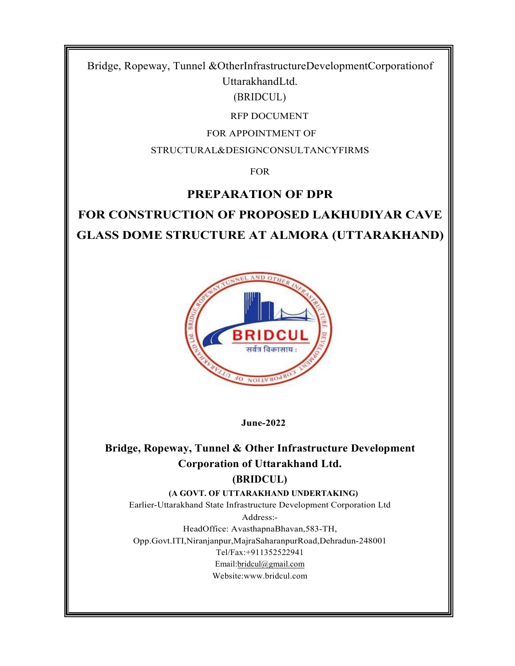Bridge, Ropeway, Tunnel &OtherInfrastructureDevelopmentCorporationof UttarakhandLtd.

(BRIDCUL)

RFP DOCUMENT

FOR APPOINTMENT OF

STRUCTURAL&DESIGNCONSULTANCYFIRMS

FOR

## PREPARATION OF DPR

# FOR CONSTRUCTION OF PROPOSED LAKHUDIYAR CAVE GLASS DOME STRUCTURE AT ALMORA (UTTARAKHAND)



June-2022

## Bridge, Ropeway, Tunnel & Other Infrastructure Development Corporation of Uttarakhand Ltd. (BRIDCUL)

(A GOVT. OF UTTARAKHAND UNDERTAKING)

Earlier-Uttarakhand State Infrastructure Development Corporation Ltd

Address:- HeadOffice: AvasthapnaBhavan,583-TH, Opp.Govt.ITI,Niranjanpur,MajraSaharanpurRoad,Dehradun-248001 Tel/Fax:+911352522941 Email:bridcul@gmail.com Website:www.bridcul.com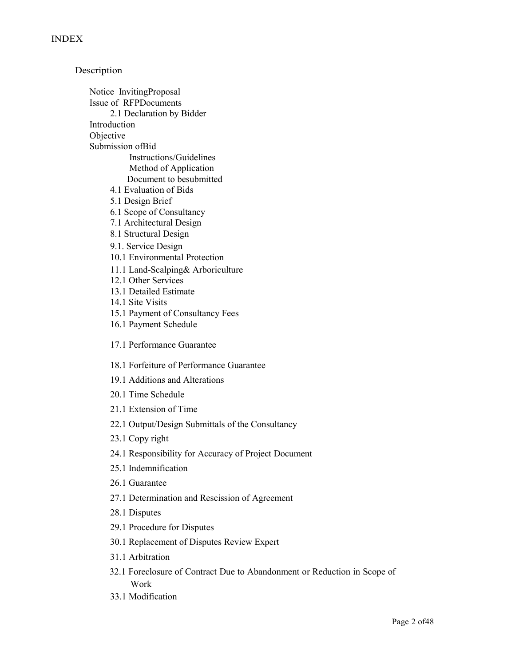Description Notice InvitingProposal Issue of RFPDocuments 2.1 Declaration by Bidder Introduction **Objective** Submission ofBid Instructions/Guidelines Method of Application Document to besubmitted 4.1 Evaluation of Bids 5.1 Design Brief 6.1 Scope of Consultancy 7.1 Architectural Design 8.1 Structural Design 9.1. Service Design 10.1 Environmental Protection 11.1 Land-Scalping& Arboriculture 12.1 Other Services 13.1 Detailed Estimate 14.1 Site Visits 15.1 Payment of Consultancy Fees 16.1 Payment Schedule 17.1 Performance Guarantee 18.1 Forfeiture of Performance Guarantee 19.1 Additions and Alterations 20.1 Time Schedule 21.1 Extension of Time 22.1 Output/Design Submittals of the Consultancy 23.1 Copy right 24.1 Responsibility for Accuracy of Project Document 25.1 Indemnification 26.1 Guarantee 27.1 Determination and Rescission of Agreement 28.1 Disputes 29.1 Procedure for Disputes 30.1 Replacement of Disputes Review Expert 31.1 Arbitration

32.1 Foreclosure of Contract Due to Abandonment or Reduction in Scope of Work

33.1 Modification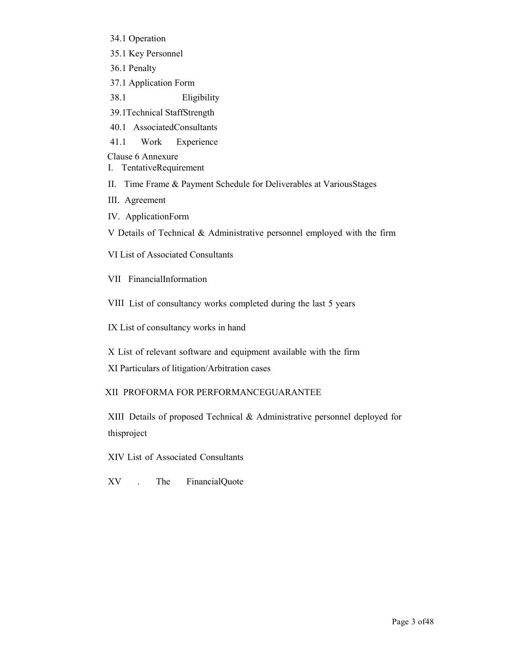- 34.1 Operation
- 35.1 Key Personnel
- 36.1 Penalty
- 37.1 Application Form
- 38.1 Eligibility
- 39.1Technical StaffStrength
- 40.1 AssociatedConsultants
- 41.1 Work Experience

Clause 6 Annexure

- I. TentativeRequirement
- II. Time Frame & Payment Schedule for Deliverables at VariousStages
- III. Agreement
- IV. ApplicationForm

V Details of Technical & Administrative personnel employed with the firm

VI List of Associated Consultants

VII FinancialInformation

VIII List of consultancy works completed during the last 5 years

IX List of consultancy works in hand

X List of relevant software and equipment available with the firm

XI Particulars of litigation/Arbitration cases

### XII PROFORMA FOR PERFORMANCEGUARANTEE

XIII Details of proposed Technical & Administrative personnel deployed for thisproject

XIV List of Associated Consultants

XV . The FinancialQuote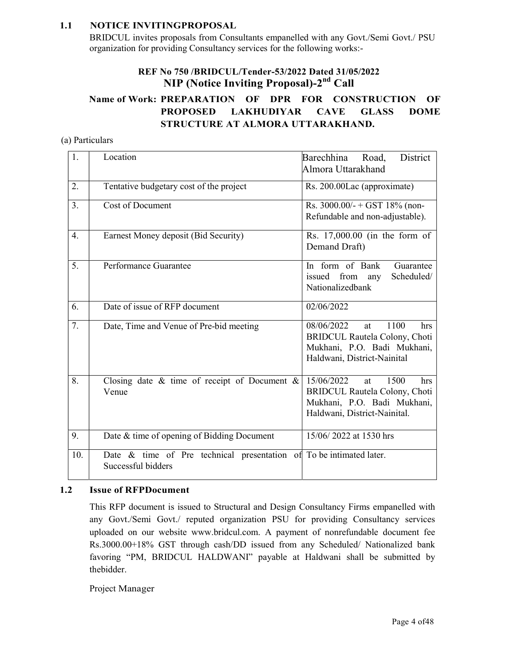### 1.1 NOTICE INVITINGPROPOSAL

BRIDCUL invites proposals from Consultants empanelled with any Govt./Semi Govt./ PSU organization for providing Consultancy services for the following works:-

### REF No 750 /BRIDCUL/Tender-53/2022 Dated 31/05/2022 NIP (Notice Inviting Proposal)-2nd Call

### Name of Work: PREPARATION OF DPR FOR CONSTRUCTION OF PROPOSED LAKHUDIYAR CAVE GLASS DOME STRUCTURE AT ALMORA UTTARAKHAND.

### (a) Particulars

| 1.               | Location                                                                                     | Barechhina<br>District<br>Road,<br>Almora Uttarakhand                                                                                  |
|------------------|----------------------------------------------------------------------------------------------|----------------------------------------------------------------------------------------------------------------------------------------|
| 2.               | Tentative budgetary cost of the project                                                      | Rs. 200.00Lac (approximate)                                                                                                            |
| 3.               | <b>Cost of Document</b>                                                                      | Rs. $3000.00/- + GST$ 18% (non-<br>Refundable and non-adjustable).                                                                     |
| $\overline{4}$ . | Earnest Money deposit (Bid Security)                                                         | Rs. 17,000.00 (in the form of<br>Demand Draft)                                                                                         |
| 5.               | Performance Guarantee                                                                        | In form of Bank<br>Guarantee<br>issued from any<br>Scheduled/<br>Nationalizedbank                                                      |
| 6.               | Date of issue of RFP document                                                                | 02/06/2022                                                                                                                             |
| 7.               | Date, Time and Venue of Pre-bid meeting                                                      | 08/06/2022<br>1100<br>hrs<br>at<br><b>BRIDCUL Rautela Colony, Choti</b><br>Mukhani, P.O. Badi Mukhani,<br>Haldwani, District-Nainital  |
| 8.               | Closing date $\&$ time of receipt of Document $\&$<br>Venue                                  | 15/06/2022<br>1500<br>at<br>hrs<br><b>BRIDCUL Rautela Colony, Choti</b><br>Mukhani, P.O. Badi Mukhani,<br>Haldwani, District-Nainital. |
| 9.               | Date & time of opening of Bidding Document                                                   | 15/06/2022 at 1530 hrs                                                                                                                 |
| 10.              | Date $\&$ time of Pre technical presentation of To be intimated later.<br>Successful bidders |                                                                                                                                        |

### 1.2 Issue of RFPDocument

This RFP document is issued to Structural and Design Consultancy Firms empanelled with any Govt./Semi Govt./ reputed organization PSU for providing Consultancy services uploaded on our website www.bridcul.com. A payment of nonrefundable document fee Rs.3000.00+18% GST through cash/DD issued from any Scheduled/ Nationalized bank favoring "PM, BRIDCUL HALDWANI" payable at Haldwani shall be submitted by thebidder.

### Project Manager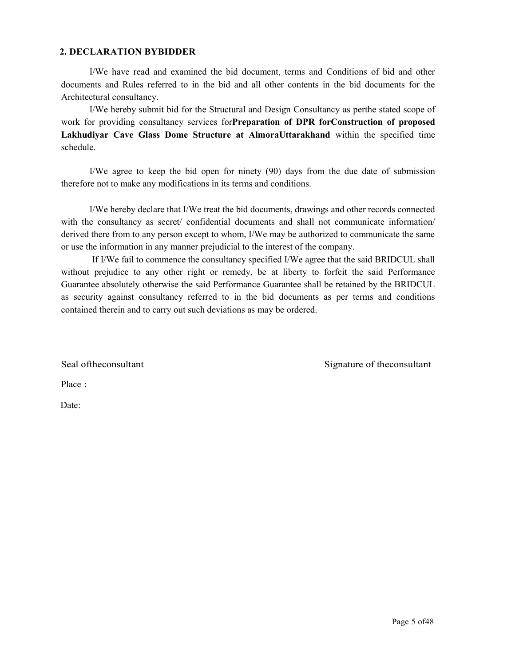#### 2. DECLARATION BYBIDDER

I/We have read and examined the bid document, terms and Conditions of bid and other documents and Rules referred to in the bid and all other contents in the bid documents for the Architectural consultancy.

I/We hereby submit bid for the Structural and Design Consultancy as perthe stated scope of work for providing consultancy services forPreparation of DPR forConstruction of proposed Lakhudiyar Cave Glass Dome Structure at AlmoraUttarakhand within the specified time schedule.

I/We agree to keep the bid open for ninety (90) days from the due date of submission therefore not to make any modifications in its terms and conditions.

I/We hereby declare that I/We treat the bid documents, drawings and other records connected with the consultancy as secret/ confidential documents and shall not communicate information/ derived there from to any person except to whom, I/We may be authorized to communicate the same or use the information in any manner prejudicial to the interest of the company.

If I/We fail to commence the consultancy specified I/We agree that the said BRIDCUL shall without prejudice to any other right or remedy, be at liberty to forfeit the said Performance Guarantee absolutely otherwise the said Performance Guarantee shall be retained by the BRIDCUL as security against consultancy referred to in the bid documents as per terms and conditions contained therein and to carry out such deviations as may be ordered.

Seal of the consultant Signature of the consultant Signature of the consultant

Place :

Date: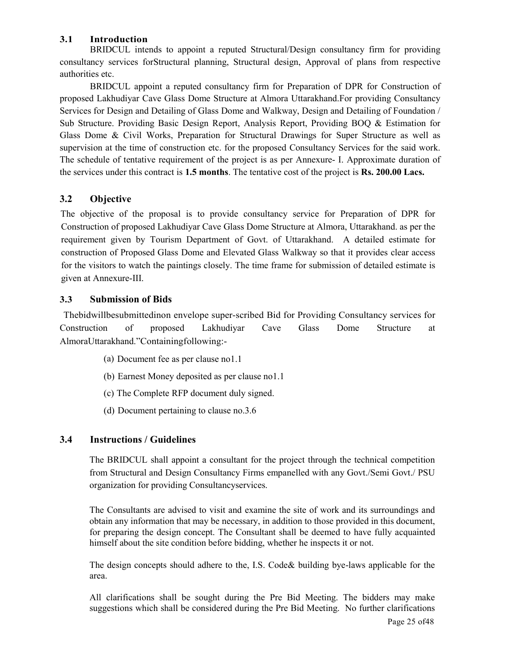### 3.1 Introduction

BRIDCUL intends to appoint a reputed Structural/Design consultancy firm for providing consultancy services forStructural planning, Structural design, Approval of plans from respective authorities etc.

BRIDCUL appoint a reputed consultancy firm for Preparation of DPR for Construction of proposed Lakhudiyar Cave Glass Dome Structure at Almora Uttarakhand.For providing Consultancy Services for Design and Detailing of Glass Dome and Walkway, Design and Detailing of Foundation / Sub Structure. Providing Basic Design Report, Analysis Report, Providing BOQ & Estimation for Glass Dome & Civil Works, Preparation for Structural Drawings for Super Structure as well as supervision at the time of construction etc. for the proposed Consultancy Services for the said work. The schedule of tentative requirement of the project is as per Annexure- I. Approximate duration of the services under this contract is 1.5 months. The tentative cost of the project is Rs. 200.00 Lacs.

### 3.2 Objective

The objective of the proposal is to provide consultancy service for Preparation of DPR for Construction of proposed Lakhudiyar Cave Glass Dome Structure at Almora, Uttarakhand. as per the requirement given by Tourism Department of Govt. of Uttarakhand. A detailed estimate for construction of Proposed Glass Dome and Elevated Glass Walkway so that it provides clear access for the visitors to watch the paintings closely. The time frame for submission of detailed estimate is given at Annexure-III.

### 3.3 Submission of Bids

Thebidwillbesubmittedinon envelope super-scribed Bid for Providing Consultancy services for Construction of proposed Lakhudiyar Cave Glass Dome Structure at AlmoraUttarakhand."Containingfollowing:-

- (a) Document fee as per clause no1.1
- (b) Earnest Money deposited as per clause no1.1
- (c) The Complete RFP document duly signed.
- (d) Document pertaining to clause no.3.6

### 3.4 Instructions / Guidelines

The BRIDCUL shall appoint a consultant for the project through the technical competition from Structural and Design Consultancy Firms empanelled with any Govt./Semi Govt./ PSU organization for providing Consultancyservices.

The Consultants are advised to visit and examine the site of work and its surroundings and obtain any information that may be necessary, in addition to those provided in this document, for preparing the design concept. The Consultant shall be deemed to have fully acquainted himself about the site condition before bidding, whether he inspects it or not.

The design concepts should adhere to the, I.S. Code& building bye-laws applicable for the area.

All clarifications shall be sought during the Pre Bid Meeting. The bidders may make suggestions which shall be considered during the Pre Bid Meeting. No further clarifications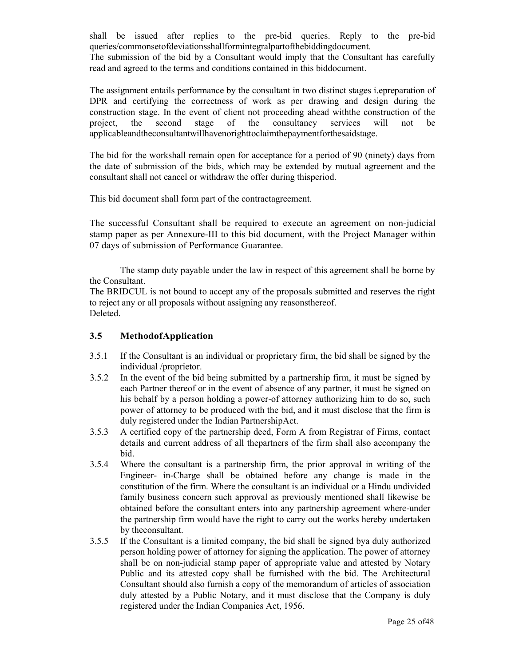shall be issued after replies to the pre-bid queries. Reply to the pre-bid queries/commonsetofdeviationsshallformintegralpartofthebiddingdocument. The submission of the bid by a Consultant would imply that the Consultant has carefully

read and agreed to the terms and conditions contained in this biddocument.

The assignment entails performance by the consultant in two distinct stages i.epreparation of DPR and certifying the correctness of work as per drawing and design during the construction stage. In the event of client not proceeding ahead withthe construction of the project, the second stage of the consultancy services will not be applicableandtheconsultantwillhavenorighttoclaimthepaymentforthesaidstage.

The bid for the workshall remain open for acceptance for a period of 90 (ninety) days from the date of submission of the bids, which may be extended by mutual agreement and the consultant shall not cancel or withdraw the offer during thisperiod.

This bid document shall form part of the contractagreement.

The successful Consultant shall be required to execute an agreement on non-judicial stamp paper as per Annexure-III to this bid document, with the Project Manager within 07 days of submission of Performance Guarantee.

The stamp duty payable under the law in respect of this agreement shall be borne by the Consultant.

The BRIDCUL is not bound to accept any of the proposals submitted and reserves the right to reject any or all proposals without assigning any reasonsthereof. Deleted.

### 3.5 MethodofApplication

- 3.5.1 If the Consultant is an individual or proprietary firm, the bid shall be signed by the individual /proprietor.
- 3.5.2 In the event of the bid being submitted by a partnership firm, it must be signed by each Partner thereof or in the event of absence of any partner, it must be signed on his behalf by a person holding a power-of attorney authorizing him to do so, such power of attorney to be produced with the bid, and it must disclose that the firm is duly registered under the Indian PartnershipAct.
- 3.5.3 A certified copy of the partnership deed, Form A from Registrar of Firms, contact details and current address of all thepartners of the firm shall also accompany the bid.
- 3.5.4 Where the consultant is a partnership firm, the prior approval in writing of the Engineer- in-Charge shall be obtained before any change is made in the constitution of the firm. Where the consultant is an individual or a Hindu undivided family business concern such approval as previously mentioned shall likewise be obtained before the consultant enters into any partnership agreement where-under the partnership firm would have the right to carry out the works hereby undertaken by theconsultant.
- 3.5.5 If the Consultant is a limited company, the bid shall be signed bya duly authorized person holding power of attorney for signing the application. The power of attorney shall be on non-judicial stamp paper of appropriate value and attested by Notary Public and its attested copy shall be furnished with the bid. The Architectural Consultant should also furnish a copy of the memorandum of articles of association duly attested by a Public Notary, and it must disclose that the Company is duly registered under the Indian Companies Act, 1956.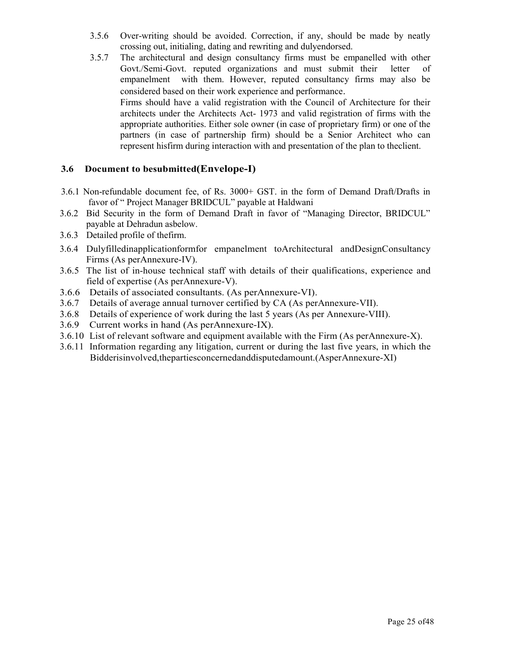- 3.5.6 Over-writing should be avoided. Correction, if any, should be made by neatly crossing out, initialing, dating and rewriting and dulyendorsed.
- 3.5.7 The architectural and design consultancy firms must be empanelled with other Govt./Semi-Govt. reputed organizations and must submit their letter of empanelment with them. However, reputed consultancy firms may also be considered based on their work experience and performance. Firms should have a valid registration with the Council of Architecture for their architects under the Architects Act- 1973 and valid registration of firms with the appropriate authorities. Either sole owner (in case of proprietary firm) or one of the partners (in case of partnership firm) should be a Senior Architect who can represent hisfirm during interaction with and presentation of the plan to theclient.

### 3.6 Document to besubmitted(Envelope-I)

- 3.6.1 Non-refundable document fee, of Rs. 3000+ GST. in the form of Demand Draft/Drafts in favor of " Project Manager BRIDCUL" payable at Haldwani
- 3.6.2 Bid Security in the form of Demand Draft in favor of "Managing Director, BRIDCUL" payable at Dehradun asbelow.
- 3.6.3 Detailed profile of thefirm.
- 3.6.4 Dulyfilledinapplicationformfor empanelment toArchitectural andDesignConsultancy Firms (As perAnnexure-IV).
- 3.6.5 The list of in-house technical staff with details of their qualifications, experience and field of expertise (As perAnnexure-V).
- 3.6.6 Details of associated consultants. (As perAnnexure-VI).
- 3.6.7 Details of average annual turnover certified by CA (As perAnnexure-VII).
- 3.6.8 Details of experience of work during the last 5 years (As per Annexure-VIII).
- 3.6.9 Current works in hand (As perAnnexure-IX).
- 3.6.10 List of relevant software and equipment available with the Firm (As perAnnexure-X).
- 3.6.11 Information regarding any litigation, current or during the last five years, in which the Bidderisinvolved,thepartiesconcernedanddisputedamount.(AsperAnnexure-XI)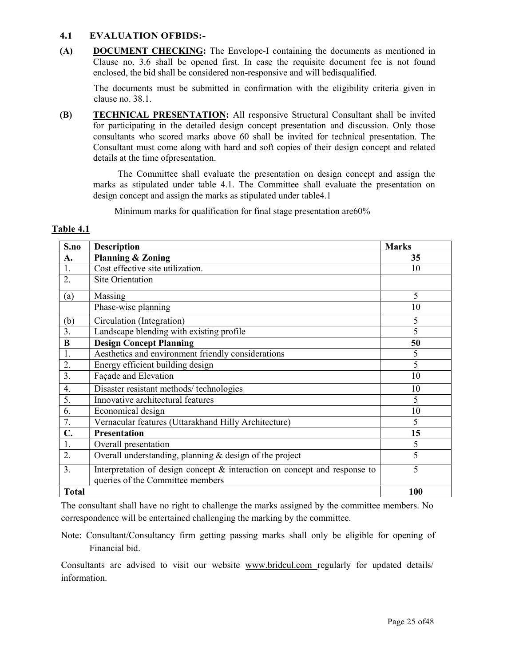### 4.1 EVALUATION OFBIDS:-

(A) DOCUMENT CHECKING: The Envelope-I containing the documents as mentioned in Clause no. 3.6 shall be opened first. In case the requisite document fee is not found enclosed, the bid shall be considered non-responsive and will bedisqualified.

The documents must be submitted in confirmation with the eligibility criteria given in clause no. 38.1.

(B) TECHNICAL PRESENTATION: All responsive Structural Consultant shall be invited for participating in the detailed design concept presentation and discussion. Only those consultants who scored marks above 60 shall be invited for technical presentation. The Consultant must come along with hard and soft copies of their design concept and related details at the time ofpresentation.

The Committee shall evaluate the presentation on design concept and assign the marks as stipulated under table 4.1. The Committee shall evaluate the presentation on design concept and assign the marks as stipulated under table4.1

Minimum marks for qualification for final stage presentation are60%

#### Table 4.1

| S.no             | <b>Description</b>                                                                                               | <b>Marks</b>   |
|------------------|------------------------------------------------------------------------------------------------------------------|----------------|
| A.               | <b>Planning &amp; Zoning</b>                                                                                     | 35             |
| 1.               | Cost effective site utilization.                                                                                 | 10             |
| 2.               | Site Orientation                                                                                                 |                |
| (a)              | Massing                                                                                                          | 5              |
|                  | Phase-wise planning                                                                                              | 10             |
| (b)              | Circulation (Integration)                                                                                        | 5              |
| 3.               | Landscape blending with existing profile                                                                         | 5              |
| B                | <b>Design Concept Planning</b>                                                                                   | 50             |
| 1.               | Aesthetics and environment friendly considerations                                                               | 5              |
| 2.               | Energy efficient building design                                                                                 | $\overline{5}$ |
| 3.               | Façade and Elevation                                                                                             | 10             |
| $\overline{4}$ . | Disaster resistant methods/technologies                                                                          | 10             |
| 5.               | Innovative architectural features                                                                                | 5              |
| 6.               | Economical design                                                                                                | 10             |
| 7.               | Vernacular features (Uttarakhand Hilly Architecture)                                                             | 5              |
| $\mathbf{C}$ .   | <b>Presentation</b>                                                                                              | 15             |
| 1.               | Overall presentation                                                                                             | 5              |
| 2.               | Overall understanding, planning $&$ design of the project                                                        | 5              |
| 3.               | Interpretation of design concept $\&$ interaction on concept and response to<br>queries of the Committee members | 5              |
| <b>Total</b>     |                                                                                                                  | 100            |

The consultant shall have no right to challenge the marks assigned by the committee members. No correspondence will be entertained challenging the marking by the committee.

Note: Consultant/Consultancy firm getting passing marks shall only be eligible for opening of Financial bid.

Consultants are advised to visit our website www.bridcul.com regularly for updated details/ information.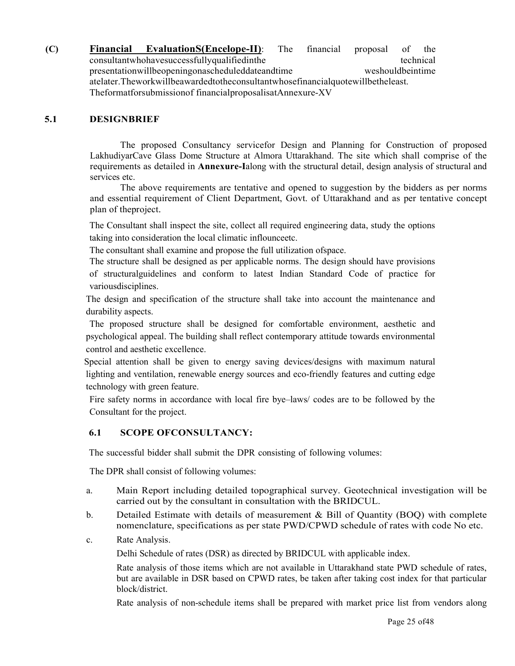(C) Financial EvaluationS(Encelope-II): The financial proposal of the consultantwhohavesuccessfullyqualifiedinthe technical presentationwillbeopeningonascheduleddateandtime weshouldbeintime atelater.Theworkwillbeawardedtotheconsultantwhosefinancialquotewillbetheleast. Theformatforsubmissionof financialproposalisatAnnexure-XV

### 5.1 DESIGNBRIEF

The proposed Consultancy servicefor Design and Planning for Construction of proposed LakhudiyarCave Glass Dome Structure at Almora Uttarakhand. The site which shall comprise of the requirements as detailed in Annexure-Ialong with the structural detail, design analysis of structural and services etc.

The above requirements are tentative and opened to suggestion by the bidders as per norms and essential requirement of Client Department, Govt. of Uttarakhand and as per tentative concept plan of theproject.

The Consultant shall inspect the site, collect all required engineering data, study the options taking into consideration the local climatic inflounceetc.

The consultant shall examine and propose the full utilization ofspace.

The structure shall be designed as per applicable norms. The design should have provisions of structuralguidelines and conform to latest Indian Standard Code of practice for variousdisciplines.

The design and specification of the structure shall take into account the maintenance and durability aspects.

 The proposed structure shall be designed for comfortable environment, aesthetic and psychological appeal. The building shall reflect contemporary attitude towards environmental control and aesthetic excellence.

Special attention shall be given to energy saving devices/designs with maximum natural lighting and ventilation, renewable energy sources and eco-friendly features and cutting edge technology with green feature.

Fire safety norms in accordance with local fire bye–laws/ codes are to be followed by the Consultant for the project.

### 6.1 SCOPE OFCONSULTANCY:

The successful bidder shall submit the DPR consisting of following volumes:

The DPR shall consist of following volumes:

- a. Main Report including detailed topographical survey. Geotechnical investigation will be carried out by the consultant in consultation with the BRIDCUL.
- b. Detailed Estimate with details of measurement & Bill of Quantity (BOQ) with complete nomenclature, specifications as per state PWD/CPWD schedule of rates with code No etc.
- c. Rate Analysis.

Delhi Schedule of rates (DSR) as directed by BRIDCUL with applicable index.

Rate analysis of those items which are not available in Uttarakhand state PWD schedule of rates, but are available in DSR based on CPWD rates, be taken after taking cost index for that particular block/district.

Rate analysis of non-schedule items shall be prepared with market price list from vendors along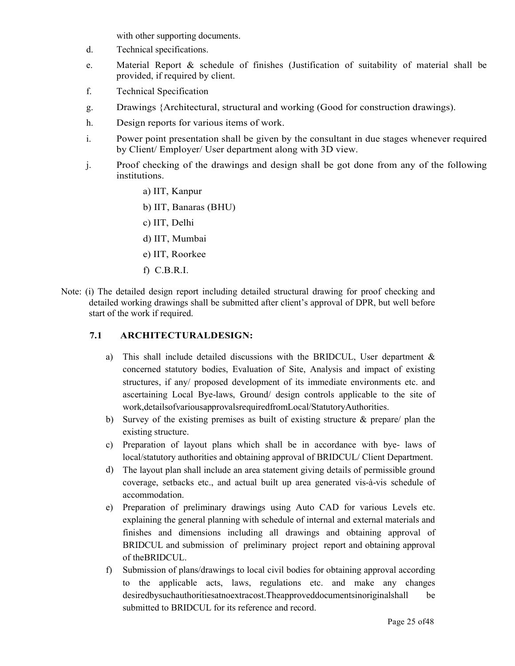with other supporting documents.

- d. Technical specifications.
- e. Material Report & schedule of finishes (Justification of suitability of material shall be provided, if required by client.
- f. Technical Specification
- g. Drawings {Architectural, structural and working (Good for construction drawings).
- h. Design reports for various items of work.
- i. Power point presentation shall be given by the consultant in due stages whenever required by Client/ Employer/ User department along with 3D view.
- j. Proof checking of the drawings and design shall be got done from any of the following institutions.
	- a) IIT, Kanpur
	- b) IIT, Banaras (BHU)
	- c) IIT, Delhi
	- d) IIT, Mumbai
	- e) IIT, Roorkee
	- f) C.B.R.I.
- Note: (i) The detailed design report including detailed structural drawing for proof checking and detailed working drawings shall be submitted after client's approval of DPR, but well before start of the work if required.

### 7.1 ARCHITECTURALDESIGN:

- a) This shall include detailed discussions with the BRIDCUL, User department & concerned statutory bodies, Evaluation of Site, Analysis and impact of existing structures, if any/ proposed development of its immediate environments etc. and ascertaining Local Bye-laws, Ground/ design controls applicable to the site of work,detailsofvariousapprovalsrequiredfromLocal/StatutoryAuthorities.
- b) Survey of the existing premises as built of existing structure & prepare/ plan the existing structure.
- c) Preparation of layout plans which shall be in accordance with bye- laws of local/statutory authorities and obtaining approval of BRIDCUL/ Client Department.
- d) The layout plan shall include an area statement giving details of permissible ground coverage, setbacks etc., and actual built up area generated vis-à-vis schedule of accommodation.
- e) Preparation of preliminary drawings using Auto CAD for various Levels etc. explaining the general planning with schedule of internal and external materials and finishes and dimensions including all drawings and obtaining approval of BRIDCUL and submission of preliminary project report and obtaining approval of theBRIDCUL.
- f) Submission of plans/drawings to local civil bodies for obtaining approval according to the applicable acts, laws, regulations etc. and make any changes desiredbysuchauthoritiesatnoextracost.Theapproveddocumentsinoriginalshall be submitted to BRIDCUL for its reference and record.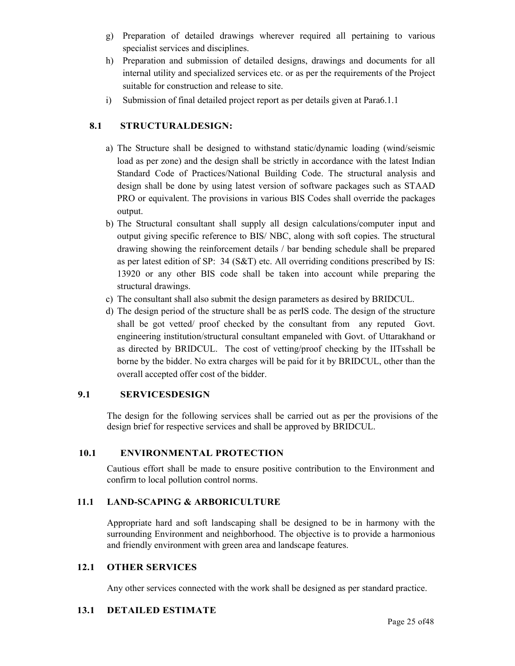- g) Preparation of detailed drawings wherever required all pertaining to various specialist services and disciplines.
- h) Preparation and submission of detailed designs, drawings and documents for all internal utility and specialized services etc. or as per the requirements of the Project suitable for construction and release to site.
- i) Submission of final detailed project report as per details given at Para6.1.1

### 8.1 STRUCTURALDESIGN:

- a) The Structure shall be designed to withstand static/dynamic loading (wind/seismic load as per zone) and the design shall be strictly in accordance with the latest Indian Standard Code of Practices/National Building Code. The structural analysis and design shall be done by using latest version of software packages such as STAAD PRO or equivalent. The provisions in various BIS Codes shall override the packages output.
- b) The Structural consultant shall supply all design calculations/computer input and output giving specific reference to BIS/ NBC, along with soft copies. The structural drawing showing the reinforcement details / bar bending schedule shall be prepared as per latest edition of SP: 34 (S&T) etc. All overriding conditions prescribed by IS: 13920 or any other BIS code shall be taken into account while preparing the structural drawings.
- c) The consultant shall also submit the design parameters as desired by BRIDCUL.
- d) The design period of the structure shall be as perIS code. The design of the structure shall be got vetted/ proof checked by the consultant from any reputed Govt. engineering institution/structural consultant empaneled with Govt. of Uttarakhand or as directed by BRIDCUL. The cost of vetting/proof checking by the IITsshall be borne by the bidder. No extra charges will be paid for it by BRIDCUL, other than the overall accepted offer cost of the bidder.

### 9.1 SERVICESDESIGN

The design for the following services shall be carried out as per the provisions of the design brief for respective services and shall be approved by BRIDCUL.

### 10.1 ENVIRONMENTAL PROTECTION

Cautious effort shall be made to ensure positive contribution to the Environment and confirm to local pollution control norms.

### 11.1 LAND-SCAPING & ARBORICULTURE

Appropriate hard and soft landscaping shall be designed to be in harmony with the surrounding Environment and neighborhood. The objective is to provide a harmonious and friendly environment with green area and landscape features.

### 12.1 OTHER SERVICES

Any other services connected with the work shall be designed as per standard practice.

### 13.1 DETAILED ESTIMATE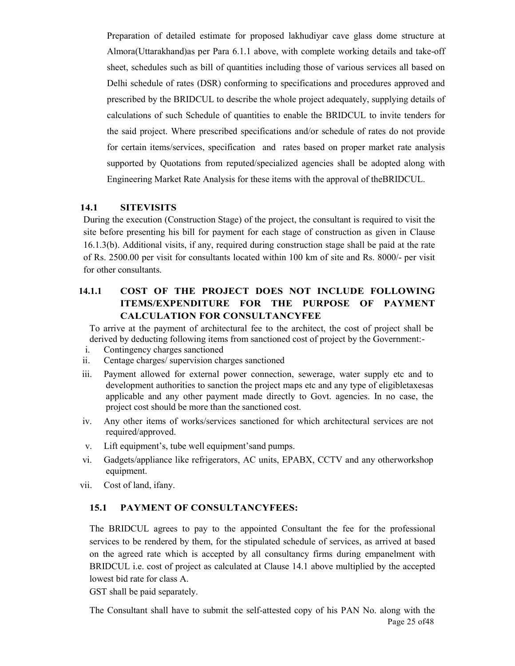Preparation of detailed estimate for proposed lakhudiyar cave glass dome structure at Almora(Uttarakhand)as per Para 6.1.1 above, with complete working details and take-off sheet, schedules such as bill of quantities including those of various services all based on Delhi schedule of rates (DSR) conforming to specifications and procedures approved and prescribed by the BRIDCUL to describe the whole project adequately, supplying details of calculations of such Schedule of quantities to enable the BRIDCUL to invite tenders for the said project. Where prescribed specifications and/or schedule of rates do not provide for certain items/services, specification and rates based on proper market rate analysis supported by Quotations from reputed/specialized agencies shall be adopted along with Engineering Market Rate Analysis for these items with the approval of theBRIDCUL.

### 14.1 SITEVISITS

During the execution (Construction Stage) of the project, the consultant is required to visit the site before presenting his bill for payment for each stage of construction as given in Clause 16.1.3(b). Additional visits, if any, required during construction stage shall be paid at the rate of Rs. 2500.00 per visit for consultants located within 100 km of site and Rs. 8000/- per visit for other consultants.

### 14.1.1 COST OF THE PROJECT DOES NOT INCLUDE FOLLOWING ITEMS/EXPENDITURE FOR THE PURPOSE OF PAYMENT CALCULATION FOR CONSULTANCYFEE

To arrive at the payment of architectural fee to the architect, the cost of project shall be derived by deducting following items from sanctioned cost of project by the Government:-

- i. Contingency charges sanctioned
- ii. Centage charges/ supervision charges sanctioned
- iii. Payment allowed for external power connection, sewerage, water supply etc and to development authorities to sanction the project maps etc and any type of eligibletaxesas applicable and any other payment made directly to Govt. agencies. In no case, the project cost should be more than the sanctioned cost.
- iv. Any other items of works/services sanctioned for which architectural services are not required/approved.
- v. Lift equipment's, tube well equipment'sand pumps.
- vi. Gadgets/appliance like refrigerators, AC units, EPABX, CCTV and any otherworkshop equipment.
- vii. Cost of land, ifany.

### 15.1 PAYMENT OF CONSULTANCYFEES:

The BRIDCUL agrees to pay to the appointed Consultant the fee for the professional services to be rendered by them, for the stipulated schedule of services, as arrived at based on the agreed rate which is accepted by all consultancy firms during empanelment with BRIDCUL i.e. cost of project as calculated at Clause 14.1 above multiplied by the accepted lowest bid rate for class A.

GST shall be paid separately.

Page 25 of48 The Consultant shall have to submit the self-attested copy of his PAN No. along with the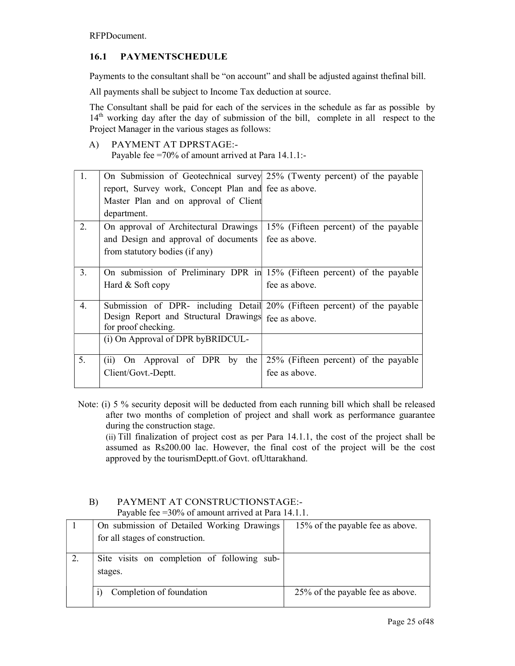RFPDocument.

### 16.1 PAYMENTSCHEDULE

Payments to the consultant shall be "on account" and shall be adjusted against thefinal bill.

All payments shall be subject to Income Tax deduction at source.

The Consultant shall be paid for each of the services in the schedule as far as possible by 14<sup>th</sup> working day after the day of submission of the bill, complete in all respect to the Project Manager in the various stages as follows:

### A) PAYMENT AT DPRSTAGE:-

Payable fee =70% of amount arrived at Para 14.1.1:-

| 1. | On Submission of Geotechnical survey 25% (Twenty percent) of the payable |                                                                          |
|----|--------------------------------------------------------------------------|--------------------------------------------------------------------------|
|    | report, Survey work, Concept Plan and fee as above.                      |                                                                          |
|    | Master Plan and on approval of Client                                    |                                                                          |
|    | department.                                                              |                                                                          |
| 2. | On approval of Architectural Drawings                                    | 15% (Fifteen percent) of the payable                                     |
|    | and Design and approval of documents                                     | fee as above.                                                            |
|    | from statutory bodies (if any)                                           |                                                                          |
|    |                                                                          |                                                                          |
| 3. |                                                                          | On submission of Preliminary DPR in 15% (Fifteen percent) of the payable |
|    | Hard & Soft copy                                                         | fee as above.                                                            |
|    |                                                                          |                                                                          |
| 4. |                                                                          | Submission of DPR- including Detail 20% (Fifteen percent) of the payable |
|    | Design Report and Structural Drawings fee as above.                      |                                                                          |
|    | for proof checking.                                                      |                                                                          |
|    | (i) On Approval of DPR byBRIDCUL-                                        |                                                                          |
|    |                                                                          |                                                                          |
|    |                                                                          |                                                                          |
| 5. | (ii) On Approval of DPR by the                                           | 25% (Fifteen percent) of the payable                                     |
|    | Client/Govt.-Deptt.                                                      | fee as above.                                                            |

Note: (i) 5 % security deposit will be deducted from each running bill which shall be released after two months of completion of project and shall work as performance guarantee during the construction stage.

(ii) Till finalization of project cost as per Para 14.1.1, the cost of the project shall be assumed as Rs200.00 lac. However, the final cost of the project will be the cost approved by the tourismDeptt.of Govt. ofUttarakhand.

### B) PAYMENT AT CONSTRUCTIONSTAGE:- Payable fee =30% of amount arrived at Para 14.1.1.

| On submission of Detailed Working Drawings<br>for all stages of construction. | 15% of the payable fee as above. |
|-------------------------------------------------------------------------------|----------------------------------|
|                                                                               |                                  |
| Site visits on completion of following sub-<br>stages.                        |                                  |
| Completion of foundation                                                      | 25% of the payable fee as above. |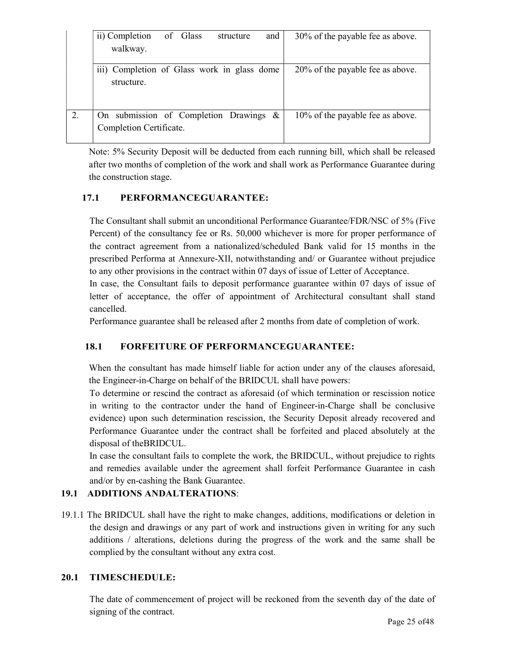| ii) Completion<br>of Glass<br>and<br>structure<br>walkway.        | 30% of the payable fee as above. |
|-------------------------------------------------------------------|----------------------------------|
| iii) Completion of Glass work in glass dome<br>structure.         | 20% of the payable fee as above. |
| On submission of Completion Drawings &<br>Completion Certificate. | 10% of the payable fee as above. |

Note: 5% Security Deposit will be deducted from each running bill, which shall be released after two months of completion of the work and shall work as Performance Guarantee during the construction stage.

### 17.1 PERFORMANCEGUARANTEE:

The Consultant shall submit an unconditional Performance Guarantee/FDR/NSC of 5% (Five Percent) of the consultancy fee or Rs. 50,000 whichever is more for proper performance of the contract agreement from a nationalized/scheduled Bank valid for 15 months in the prescribed Performa at Annexure-XII, notwithstanding and/ or Guarantee without prejudice to any other provisions in the contract within 07 days of issue of Letter of Acceptance.

In case, the Consultant fails to deposit performance guarantee within 07 days of issue of letter of acceptance, the offer of appointment of Architectural consultant shall stand cancelled.

Performance guarantee shall be released after 2 months from date of completion of work.

### 18.1 FORFEITURE OF PERFORMANCEGUARANTEE:

When the consultant has made himself liable for action under any of the clauses aforesaid, the Engineer-in-Charge on behalf of the BRIDCUL shall have powers:

To determine or rescind the contract as aforesaid (of which termination or rescission notice in writing to the contractor under the hand of Engineer-in-Charge shall be conclusive evidence) upon such determination rescission, the Security Deposit already recovered and Performance Guarantee under the contract shall be forfeited and placed absolutely at the disposal of theBRIDCUL.

In case the consultant fails to complete the work, the BRIDCUL, without prejudice to rights and remedies available under the agreement shall forfeit Performance Guarantee in cash and/or by en-cashing the Bank Guarantee.

### 19.1 ADDITIONS ANDALTERATIONS:

19.1.1 The BRIDCUL shall have the right to make changes, additions, modifications or deletion in the design and drawings or any part of work and instructions given in writing for any such additions / alterations, deletions during the progress of the work and the same shall be complied by the consultant without any extra cost.

### 20.1 TIMESCHEDULE:

The date of commencement of project will be reckoned from the seventh day of the date of signing of the contract.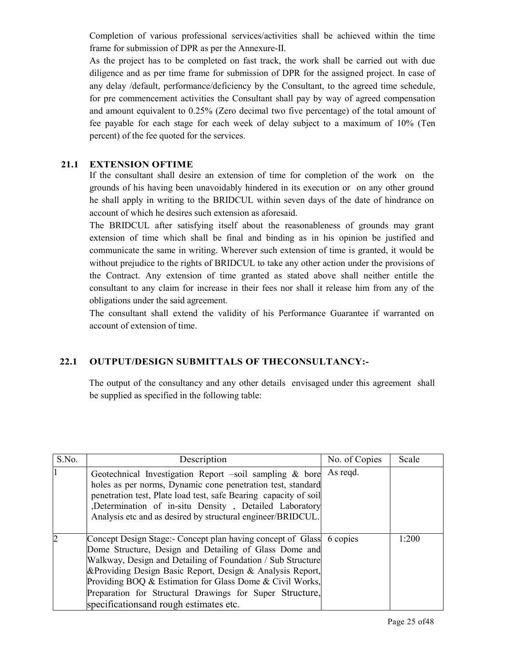Completion of various professional services/activities shall be achieved within the time frame for submission of DPR as per the Annexure-II.

As the project has to be completed on fast track, the work shall be carried out with due diligence and as per time frame for submission of DPR for the assigned project. In case of any delay /default, performance/deficiency by the Consultant, to the agreed time schedule, for pre commencement activities the Consultant shall pay by way of agreed compensation and amount equivalent to 0.25% (Zero decimal two five percentage) of the total amount of fee payable for each stage for each week of delay subject to a maximum of 10% (Ten percent) of the fee quoted for the services.

### 21.1 EXTENSION OFTIME

If the consultant shall desire an extension of time for completion of the work on the grounds of his having been unavoidably hindered in its execution or on any other ground he shall apply in writing to the BRIDCUL within seven days of the date of hindrance on account of which he desires such extension as aforesaid.

The BRIDCUL after satisfying itself about the reasonableness of grounds may grant extension of time which shall be final and binding as in his opinion be justified and communicate the same in writing. Wherever such extension of time is granted, it would be without prejudice to the rights of BRIDCUL to take any other action under the provisions of the Contract. Any extension of time granted as stated above shall neither entitle the consultant to any claim for increase in their fees nor shall it release him from any of the obligations under the said agreement.

The consultant shall extend the validity of his Performance Guarantee if warranted on account of extension of time.

### 22.1 OUTPUT/DESIGN SUBMITTALS OF THECONSULTANCY:-

The output of the consultancy and any other details envisaged under this agreement shall be supplied as specified in the following table:

| S.No.          | Description                                                                                                                                                                                                                                                                                                                                                                                                                    | No. of Copies | Scale |
|----------------|--------------------------------------------------------------------------------------------------------------------------------------------------------------------------------------------------------------------------------------------------------------------------------------------------------------------------------------------------------------------------------------------------------------------------------|---------------|-------|
|                | Geotechnical Investigation Report $-soil$ sampling & bore<br>holes as per norms, Dynamic cone penetration test, standard<br>penetration test, Plate load test, safe Bearing capacity of soil<br>,Determination of in-situ Density, Detailed Laboratory<br>Analysis etc and as desired by structural engineer/BRIDCUL.                                                                                                          | As regd.      |       |
| $\overline{c}$ | Concept Design Stage:- Concept plan having concept of Glass 6 copies<br>Dome Structure, Design and Detailing of Glass Dome and<br>Walkway, Design and Detailing of Foundation / Sub Structure<br>& Providing Design Basic Report, Design & Analysis Report,<br>Providing BOQ & Estimation for Glass Dome & Civil Works,<br>Preparation for Structural Drawings for Super Structure,<br>specifications and rough estimates etc. |               | 1:200 |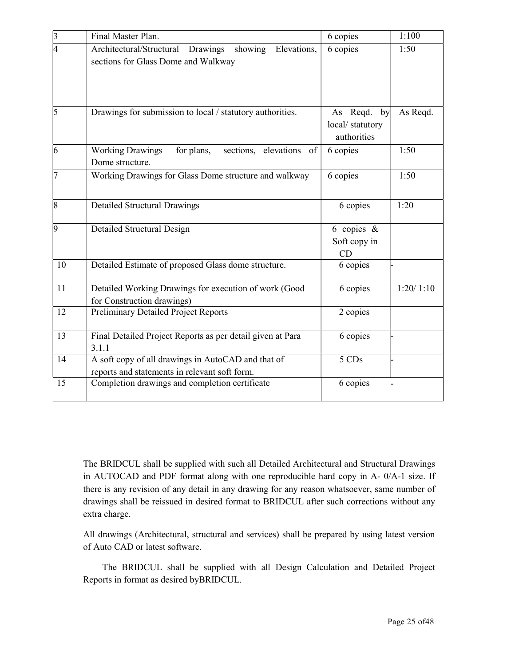| $\overline{3}$ | Final Master Plan.                                                                                  | 6 copies                                         | 1:100     |
|----------------|-----------------------------------------------------------------------------------------------------|--------------------------------------------------|-----------|
| 4              | Architectural/Structural Drawings<br>showing<br>Elevations,<br>sections for Glass Dome and Walkway  | 6 copies                                         | 1:50      |
| $\overline{5}$ | Drawings for submission to local / statutory authorities.                                           | As Reqd.<br>by<br>local/statutory<br>authorities | As Reqd.  |
| 6              | elevations<br><b>Working Drawings</b><br>for plans,<br>sections,<br>of<br>Dome structure.           | 6 copies                                         | 1:50      |
| 17             | Working Drawings for Glass Dome structure and walkway                                               | 6 copies                                         | 1:50      |
| $\vert 8$      | <b>Detailed Structural Drawings</b>                                                                 | 6 copies                                         | 1:20      |
| 9              | Detailed Structural Design                                                                          | 6 copies $\&$<br>Soft copy in<br>CD              |           |
| 10             | Detailed Estimate of proposed Glass dome structure.                                                 | 6 copies                                         |           |
| 11             | Detailed Working Drawings for execution of work (Good<br>for Construction drawings)                 | 6 copies                                         | 1:20/1:10 |
| 12             | Preliminary Detailed Project Reports                                                                | 2 copies                                         |           |
| 13             | Final Detailed Project Reports as per detail given at Para<br>3.1.1                                 | 6 copies                                         |           |
| 14             | A soft copy of all drawings in AutoCAD and that of<br>reports and statements in relevant soft form. | 5 CDs                                            |           |
| 15             | Completion drawings and completion certificate                                                      | 6 copies                                         |           |

The BRIDCUL shall be supplied with such all Detailed Architectural and Structural Drawings in AUTOCAD and PDF format along with one reproducible hard copy in A- 0/A-1 size. If there is any revision of any detail in any drawing for any reason whatsoever, same number of drawings shall be reissued in desired format to BRIDCUL after such corrections without any extra charge.

All drawings (Architectural, structural and services) shall be prepared by using latest version of Auto CAD or latest software.

 The BRIDCUL shall be supplied with all Design Calculation and Detailed Project Reports in format as desired byBRIDCUL.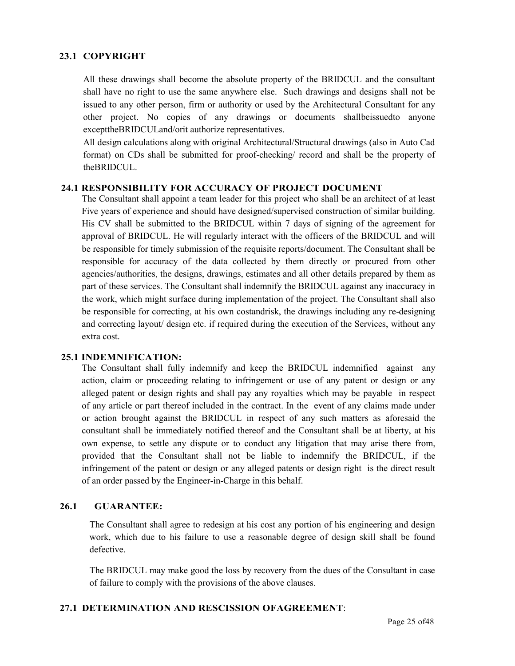### 23.1 COPYRIGHT

All these drawings shall become the absolute property of the BRIDCUL and the consultant shall have no right to use the same anywhere else. Such drawings and designs shall not be issued to any other person, firm or authority or used by the Architectural Consultant for any other project. No copies of any drawings or documents shallbeissuedto anyone excepttheBRIDCULand/orit authorize representatives.

All design calculations along with original Architectural/Structural drawings (also in Auto Cad format) on CDs shall be submitted for proof-checking/ record and shall be the property of theBRIDCUL.

#### 24.1 RESPONSIBILITY FOR ACCURACY OF PROJECT DOCUMENT

The Consultant shall appoint a team leader for this project who shall be an architect of at least Five years of experience and should have designed/supervised construction of similar building. His CV shall be submitted to the BRIDCUL within 7 days of signing of the agreement for approval of BRIDCUL. He will regularly interact with the officers of the BRIDCUL and will be responsible for timely submission of the requisite reports/document. The Consultant shall be responsible for accuracy of the data collected by them directly or procured from other agencies/authorities, the designs, drawings, estimates and all other details prepared by them as part of these services. The Consultant shall indemnify the BRIDCUL against any inaccuracy in the work, which might surface during implementation of the project. The Consultant shall also be responsible for correcting, at his own costandrisk, the drawings including any re-designing and correcting layout/ design etc. if required during the execution of the Services, without any extra cost.

#### 25.1 INDEMNIFICATION:

The Consultant shall fully indemnify and keep the BRIDCUL indemnified against any action, claim or proceeding relating to infringement or use of any patent or design or any alleged patent or design rights and shall pay any royalties which may be payable in respect of any article or part thereof included in the contract. In the event of any claims made under or action brought against the BRIDCUL in respect of any such matters as aforesaid the consultant shall be immediately notified thereof and the Consultant shall be at liberty, at his own expense, to settle any dispute or to conduct any litigation that may arise there from, provided that the Consultant shall not be liable to indemnify the BRIDCUL, if the infringement of the patent or design or any alleged patents or design right is the direct result of an order passed by the Engineer-in-Charge in this behalf.

### 26.1 GUARANTEE:

The Consultant shall agree to redesign at his cost any portion of his engineering and design work, which due to his failure to use a reasonable degree of design skill shall be found defective.

The BRIDCUL may make good the loss by recovery from the dues of the Consultant in case of failure to comply with the provisions of the above clauses.

### 27.1 DETERMINATION AND RESCISSION OFAGREEMENT: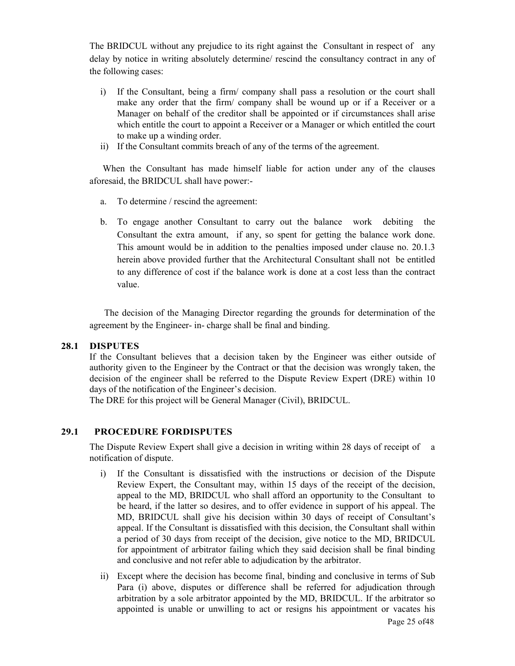The BRIDCUL without any prejudice to its right against the Consultant in respect of any delay by notice in writing absolutely determine/ rescind the consultancy contract in any of the following cases:

- i) If the Consultant, being a firm/ company shall pass a resolution or the court shall make any order that the firm/ company shall be wound up or if a Receiver or a Manager on behalf of the creditor shall be appointed or if circumstances shall arise which entitle the court to appoint a Receiver or a Manager or which entitled the court to make up a winding order.
- ii) If the Consultant commits breach of any of the terms of the agreement.

 When the Consultant has made himself liable for action under any of the clauses aforesaid, the BRIDCUL shall have power:-

- a. To determine / rescind the agreement:
- b. To engage another Consultant to carry out the balance work debiting the Consultant the extra amount, if any, so spent for getting the balance work done. This amount would be in addition to the penalties imposed under clause no. 20.1.3 herein above provided further that the Architectural Consultant shall not be entitled to any difference of cost if the balance work is done at a cost less than the contract value.

 The decision of the Managing Director regarding the grounds for determination of the agreement by the Engineer- in- charge shall be final and binding.

#### 28.1 DISPUTES

If the Consultant believes that a decision taken by the Engineer was either outside of authority given to the Engineer by the Contract or that the decision was wrongly taken, the decision of the engineer shall be referred to the Dispute Review Expert (DRE) within 10 days of the notification of the Engineer's decision.

The DRE for this project will be General Manager (Civil), BRIDCUL.

### 29.1 PROCEDURE FORDISPUTES

The Dispute Review Expert shall give a decision in writing within 28 days of receipt of a notification of dispute.

- i) If the Consultant is dissatisfied with the instructions or decision of the Dispute Review Expert, the Consultant may, within 15 days of the receipt of the decision, appeal to the MD, BRIDCUL who shall afford an opportunity to the Consultant to be heard, if the latter so desires, and to offer evidence in support of his appeal. The MD, BRIDCUL shall give his decision within 30 days of receipt of Consultant's appeal. If the Consultant is dissatisfied with this decision, the Consultant shall within a period of 30 days from receipt of the decision, give notice to the MD, BRIDCUL for appointment of arbitrator failing which they said decision shall be final binding and conclusive and not refer able to adjudication by the arbitrator.
- Page 25 of48 ii) Except where the decision has become final, binding and conclusive in terms of Sub Para (i) above, disputes or difference shall be referred for adjudication through arbitration by a sole arbitrator appointed by the MD, BRIDCUL. If the arbitrator so appointed is unable or unwilling to act or resigns his appointment or vacates his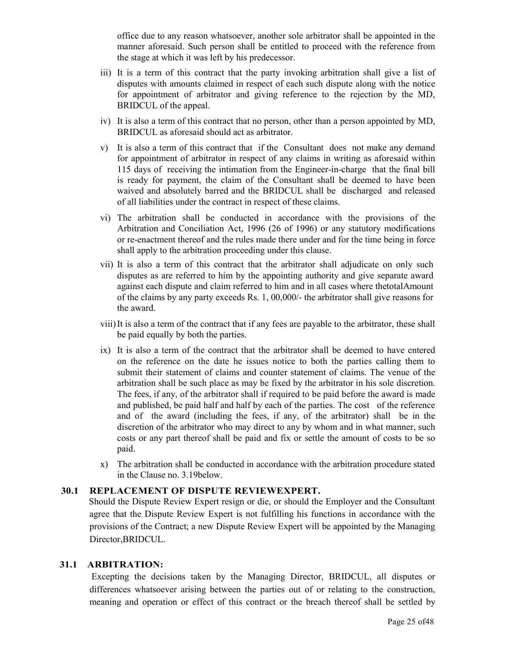office due to any reason whatsoever, another sole arbitrator shall be appointed in the manner aforesaid. Such person shall be entitled to proceed with the reference from the stage at which it was left by his predecessor.

- iii) It is a term of this contract that the party invoking arbitration shall give a list of disputes with amounts claimed in respect of each such dispute along with the notice for appointment of arbitrator and giving reference to the rejection by the MD, BRIDCUL of the appeal.
- iv) It is also a term of this contract that no person, other than a person appointed by MD, BRIDCUL as aforesaid should act as arbitrator.
- v) It is also a term of this contract that if the Consultant does not make any demand for appointment of arbitrator in respect of any claims in writing as aforesaid within 115 days of receiving the intimation from the Engineer-in-charge that the final bill is ready for payment, the claim of the Consultant shall be deemed to have been waived and absolutely barred and the BRIDCUL shall be discharged and released of all liabilities under the contract in respect of these claims.
- vi) The arbitration shall be conducted in accordance with the provisions of the Arbitration and Conciliation Act, 1996 (26 of 1996) or any statutory modifications or re-enactment thereof and the rules made there under and for the time being in force shall apply to the arbitration proceeding under this clause.
- vii) It is also a term of this contract that the arbitrator shall adjudicate on only such disputes as are referred to him by the appointing authority and give separate award against each dispute and claim referred to him and in all cases where thetotalAmount of the claims by any party exceeds Rs. 1, 00,000/- the arbitrator shall give reasons for the award.
- viii) It is also a term of the contract that if any fees are payable to the arbitrator, these shall be paid equally by both the parties.
- ix) It is also a term of the contract that the arbitrator shall be deemed to have entered on the reference on the date he issues notice to both the parties calling them to submit their statement of claims and counter statement of claims. The venue of the arbitration shall be such place as may be fixed by the arbitrator in his sole discretion. The fees, if any, of the arbitrator shall if required to be paid before the award is made and published, be paid half and half by each of the parties. The cost of the reference and of the award (including the fees, if any, of the arbitrator) shall be in the discretion of the arbitrator who may direct to any by whom and in what manner, such costs or any part thereof shall be paid and fix or settle the amount of costs to be so paid.
- x) The arbitration shall be conducted in accordance with the arbitration procedure stated in the Clause no. 3.19below.

### 30.1 REPLACEMENT OF DISPUTE REVIEWEXPERT.

Should the Dispute Review Expert resign or die, or should the Employer and the Consultant agree that the Dispute Review Expert is not fulfilling his functions in accordance with the provisions of the Contract; a new Dispute Review Expert will be appointed by the Managing Director,BRIDCUL.

### 31.1 ARBITRATION:

 Excepting the decisions taken by the Managing Director, BRIDCUL, all disputes or differences whatsoever arising between the parties out of or relating to the construction, meaning and operation or effect of this contract or the breach thereof shall be settled by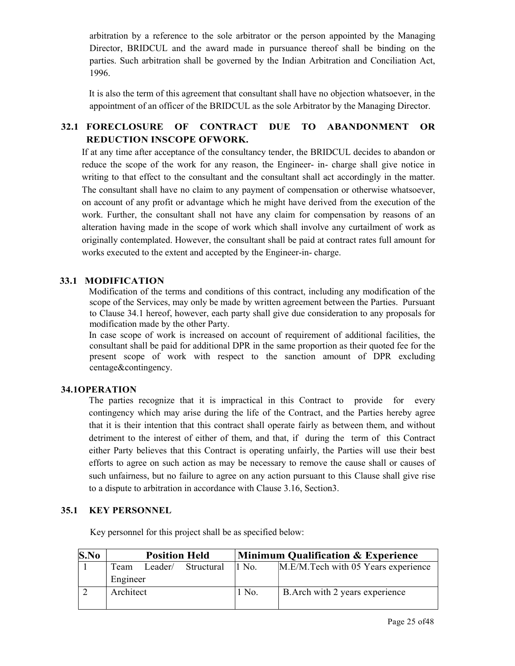arbitration by a reference to the sole arbitrator or the person appointed by the Managing Director, BRIDCUL and the award made in pursuance thereof shall be binding on the parties. Such arbitration shall be governed by the Indian Arbitration and Conciliation Act, 1996.

It is also the term of this agreement that consultant shall have no objection whatsoever, in the appointment of an officer of the BRIDCUL as the sole Arbitrator by the Managing Director.

### 32.1 FORECLOSURE OF CONTRACT DUE TO ABANDONMENT OR REDUCTION INSCOPE OFWORK.

If at any time after acceptance of the consultancy tender, the BRIDCUL decides to abandon or reduce the scope of the work for any reason, the Engineer- in- charge shall give notice in writing to that effect to the consultant and the consultant shall act accordingly in the matter. The consultant shall have no claim to any payment of compensation or otherwise whatsoever, on account of any profit or advantage which he might have derived from the execution of the work. Further, the consultant shall not have any claim for compensation by reasons of an alteration having made in the scope of work which shall involve any curtailment of work as originally contemplated. However, the consultant shall be paid at contract rates full amount for works executed to the extent and accepted by the Engineer-in- charge.

### 33.1 MODIFICATION

Modification of the terms and conditions of this contract, including any modification of the scope of the Services, may only be made by written agreement between the Parties. Pursuant to Clause 34.1 hereof, however, each party shall give due consideration to any proposals for modification made by the other Party.

In case scope of work is increased on account of requirement of additional facilities, the consultant shall be paid for additional DPR in the same proportion as their quoted fee for the present scope of work with respect to the sanction amount of DPR excluding centage&contingency.

### 34.1OPERATION

The parties recognize that it is impractical in this Contract to provide for every contingency which may arise during the life of the Contract, and the Parties hereby agree that it is their intention that this contract shall operate fairly as between them, and without detriment to the interest of either of them, and that, if during the term of this Contract either Party believes that this Contract is operating unfairly, the Parties will use their best efforts to agree on such action as may be necessary to remove the cause shall or causes of such unfairness, but no failure to agree on any action pursuant to this Clause shall give rise to a dispute to arbitration in accordance with Clause 3.16, Section3.

### 35.1 KEY PERSONNEL

Key personnel for this project shall be as specified below:

| S.No |           | <b>Minimum Qualification &amp; Experience</b><br><b>Position Held</b> |            |        |                                     |  |  |
|------|-----------|-----------------------------------------------------------------------|------------|--------|-------------------------------------|--|--|
|      | Team      | Leader/                                                               | Structural | 11 No. | M.E/M.Tech with 05 Years experience |  |  |
|      | Engineer  |                                                                       |            |        |                                     |  |  |
|      | Architect |                                                                       |            | l No.  | B. Arch with 2 years experience     |  |  |
|      |           |                                                                       |            |        |                                     |  |  |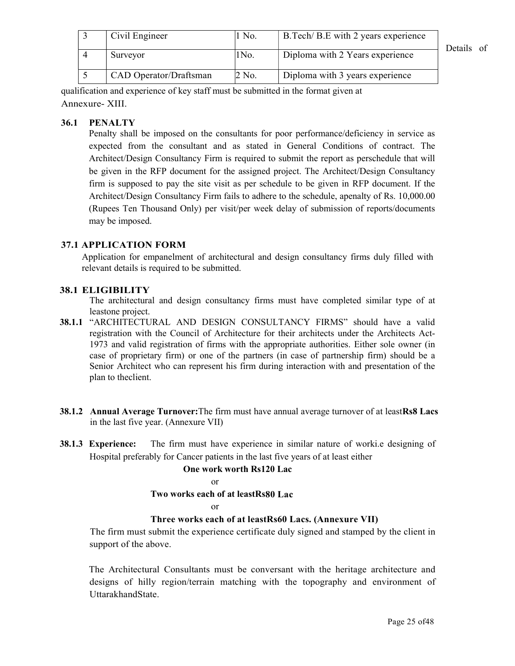| Civil Engineer         | 1 No. | B. Tech/ B. E with 2 years experience | Details of |
|------------------------|-------|---------------------------------------|------------|
| Surveyor               | 1No.  | Diploma with 2 Years experience       |            |
| CAD Operator/Draftsman | 2 No. | Diploma with 3 years experience       |            |

qualification and experience of key staff must be submitted in the format given at Annexure- XIII.

### 36.1 PENALTY

Penalty shall be imposed on the consultants for poor performance/deficiency in service as expected from the consultant and as stated in General Conditions of contract. The Architect/Design Consultancy Firm is required to submit the report as perschedule that will be given in the RFP document for the assigned project. The Architect/Design Consultancy firm is supposed to pay the site visit as per schedule to be given in RFP document. If the Architect/Design Consultancy Firm fails to adhere to the schedule, apenalty of Rs. 10,000.00 (Rupees Ten Thousand Only) per visit/per week delay of submission of reports/documents may be imposed.

### 37.1 APPLICATION FORM

Application for empanelment of architectural and design consultancy firms duly filled with relevant details is required to be submitted.

### 38.1 ELIGIBILITY

The architectural and design consultancy firms must have completed similar type of at leastone project.

- 38.1.1 "ARCHITECTURAL AND DESIGN CONSULTANCY FIRMS" should have a valid registration with the Council of Architecture for their architects under the Architects Act-1973 and valid registration of firms with the appropriate authorities. Either sole owner (in case of proprietary firm) or one of the partners (in case of partnership firm) should be a Senior Architect who can represent his firm during interaction with and presentation of the plan to theclient.
- 38.1.2 Annual Average Turnover: The firm must have annual average turnover of at leastRs8 Lacs in the last five year. (Annexure VII)
- 38.1.3 Experience: The firm must have experience in similar nature of worki.e designing of Hospital preferably for Cancer patients in the last five years of at least either

#### One work worth Rs120 Lac

or

### Two works each of at leastRs80 Lac

#### or

### Three works each of at leastRs60 Lacs. (Annexure VII)

The firm must submit the experience certificate duly signed and stamped by the client in support of the above.

The Architectural Consultants must be conversant with the heritage architecture and designs of hilly region/terrain matching with the topography and environment of UttarakhandState.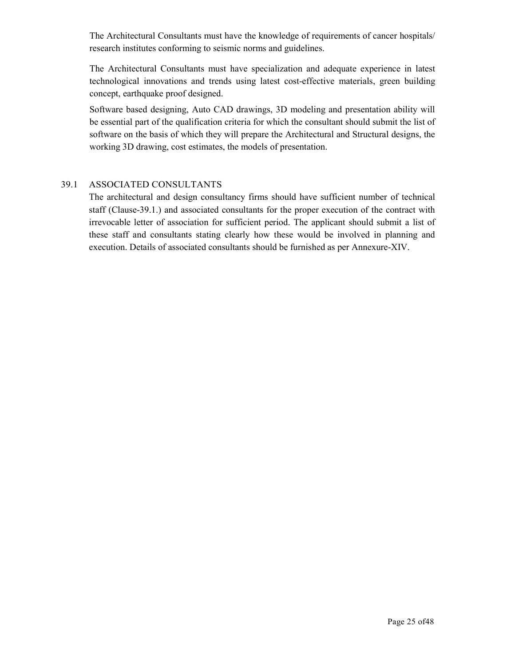The Architectural Consultants must have the knowledge of requirements of cancer hospitals/ research institutes conforming to seismic norms and guidelines.

The Architectural Consultants must have specialization and adequate experience in latest technological innovations and trends using latest cost-effective materials, green building concept, earthquake proof designed.

Software based designing, Auto CAD drawings, 3D modeling and presentation ability will be essential part of the qualification criteria for which the consultant should submit the list of software on the basis of which they will prepare the Architectural and Structural designs, the working 3D drawing, cost estimates, the models of presentation.

### 39.1 ASSOCIATED CONSULTANTS

The architectural and design consultancy firms should have sufficient number of technical staff (Clause-39.1.) and associated consultants for the proper execution of the contract with irrevocable letter of association for sufficient period. The applicant should submit a list of these staff and consultants stating clearly how these would be involved in planning and execution. Details of associated consultants should be furnished as per Annexure-XIV.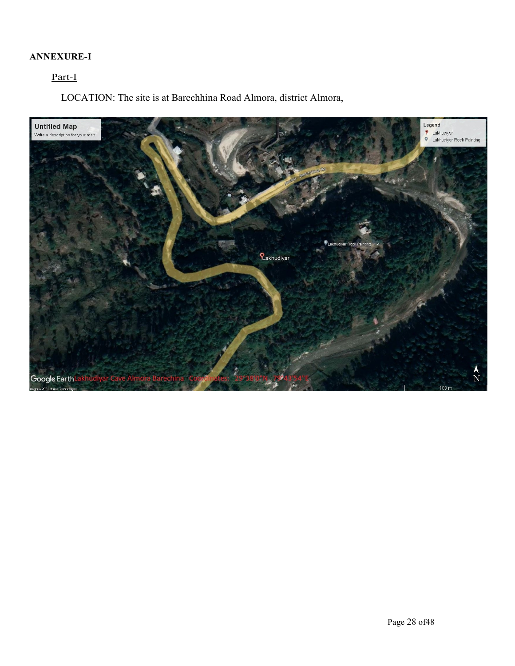### ANNEXURE-I

### Part-I

LOCATION: The site is at Barechhina Road Almora, district Almora,

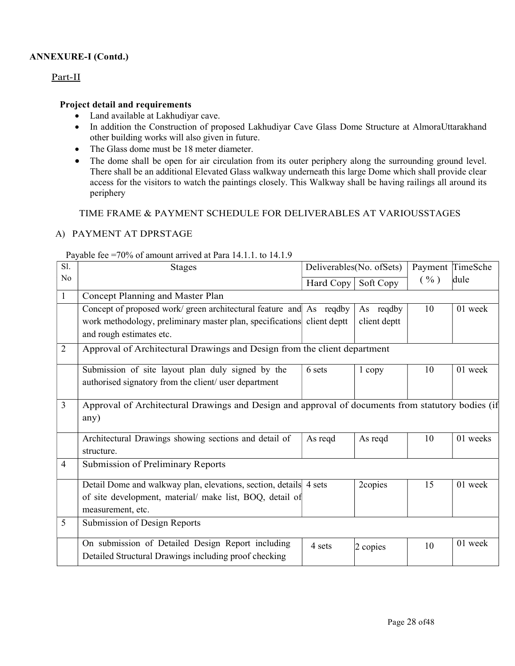### ANNEXURE-I (Contd.)

### Part-II

### Project detail and requirements

- Land available at Lakhudiyar cave.
- In addition the Construction of proposed Lakhudiyar Cave Glass Dome Structure at AlmoraUttarakhand other building works will also given in future.
- The Glass dome must be 18 meter diameter.
- The dome shall be open for air circulation from its outer periphery along the surrounding ground level. There shall be an additional Elevated Glass walkway underneath this large Dome which shall provide clear access for the visitors to watch the paintings closely. This Walkway shall be having railings all around its periphery

TIME FRAME & PAYMENT SCHEDULE FOR DELIVERABLES AT VARIOUSSTAGES

### A) PAYMENT AT DPRSTAGE

### Payable fee =70% of amount arrived at Para 14.1.1. to 14.1.9

| S1.            | <b>Stages</b>                                                                                     |           | Deliverables(No. ofSets) |      | Payment TimeSche |
|----------------|---------------------------------------------------------------------------------------------------|-----------|--------------------------|------|------------------|
| No             |                                                                                                   | Hard Copy | Soft Copy                | ( %) | dule             |
|                | Concept Planning and Master Plan                                                                  |           |                          |      |                  |
|                | Concept of proposed work/ green architectural feature and As reqdby                               |           | As reqdby                | 10   | 01 week          |
|                | work methodology, preliminary master plan, specifications client deptt                            |           | client deptt             |      |                  |
|                | and rough estimates etc.                                                                          |           |                          |      |                  |
| $\overline{2}$ | Approval of Architectural Drawings and Design from the client department                          |           |                          |      |                  |
|                | Submission of site layout plan duly signed by the                                                 | 6 sets    | 1 copy                   | 10   | 01 week          |
|                | authorised signatory from the client/ user department                                             |           |                          |      |                  |
|                |                                                                                                   |           |                          |      |                  |
| 3              | Approval of Architectural Drawings and Design and approval of documents from statutory bodies (if |           |                          |      |                  |
|                | any)                                                                                              |           |                          |      |                  |
|                | Architectural Drawings showing sections and detail of                                             | As regd   | As reqd                  | 10   | 01 weeks         |
|                | structure.                                                                                        |           |                          |      |                  |
| 4              | Submission of Preliminary Reports                                                                 |           |                          |      |                  |
|                | Detail Dome and walkway plan, elevations, section, details 4 sets                                 |           | 2copies                  | 15   | 01 week          |
|                | of site development, material/ make list, BOQ, detail of                                          |           |                          |      |                  |
|                | measurement, etc.                                                                                 |           |                          |      |                  |
| 5              | Submission of Design Reports                                                                      |           |                          |      |                  |
|                | On submission of Detailed Design Report including                                                 |           |                          |      | 01 week          |
|                | Detailed Structural Drawings including proof checking                                             | 4 sets    | 2 copies                 | 10   |                  |
|                |                                                                                                   |           |                          |      |                  |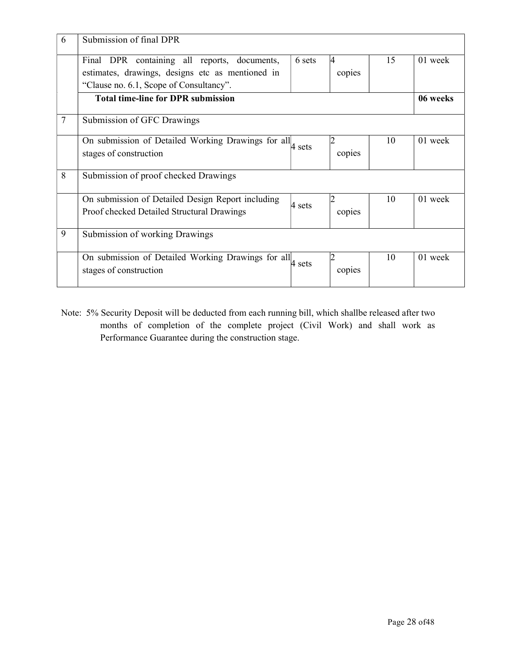| 6              | Submission of final DPR                                                                                                                     |        |                          |    |          |
|----------------|---------------------------------------------------------------------------------------------------------------------------------------------|--------|--------------------------|----|----------|
|                | Final DPR containing all reports, documents,<br>estimates, drawings, designs etc as mentioned in<br>"Clause no. 6.1, Scope of Consultancy". | 6 sets | 4<br>copies              | 15 | 01 week  |
|                | <b>Total time-line for DPR submission</b>                                                                                                   |        |                          |    | 06 weeks |
| $\overline{7}$ | Submission of GFC Drawings                                                                                                                  |        |                          |    |          |
|                | On submission of Detailed Working Drawings for all asets<br>stages of construction                                                          |        | copies                   | 10 | 01 week  |
| 8              | Submission of proof checked Drawings                                                                                                        |        |                          |    |          |
|                | On submission of Detailed Design Report including<br>Proof checked Detailed Structural Drawings                                             | 4 sets | 2<br>copies              | 10 | 01 week  |
| 9              | Submission of working Drawings                                                                                                              |        |                          |    |          |
|                | On submission of Detailed Working Drawings for all a sets<br>stages of construction                                                         |        | $\overline{c}$<br>copies | 10 | 01 week  |

Note: 5% Security Deposit will be deducted from each running bill, which shallbe released after two months of completion of the complete project (Civil Work) and shall work as Performance Guarantee during the construction stage.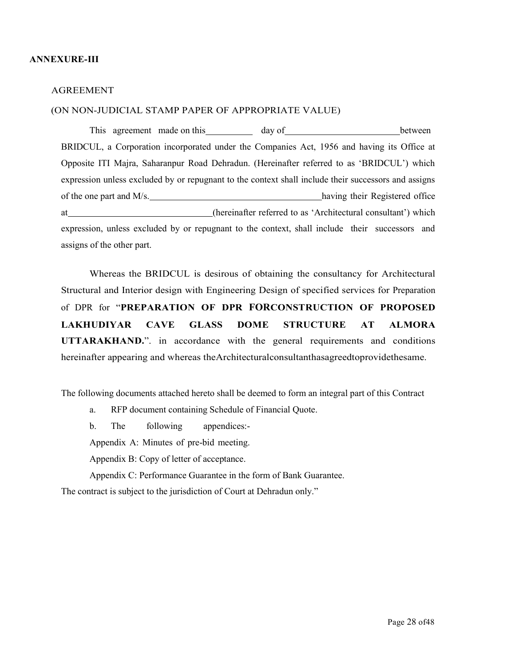#### ANNEXURE-III

#### AGREEMENT

#### (ON NON-JUDICIAL STAMP PAPER OF APPROPRIATE VALUE)

This agreement made on this day of between BRIDCUL, a Corporation incorporated under the Companies Act, 1956 and having its Office at Opposite ITI Majra, Saharanpur Road Dehradun. (Hereinafter referred to as 'BRIDCUL') which expression unless excluded by or repugnant to the context shall include their successors and assigns of the one part and M/s. having their Registered office at (hereinafter referred to as 'Architectural consultant') which expression, unless excluded by or repugnant to the context, shall include their successors and assigns of the other part.

Whereas the BRIDCUL is desirous of obtaining the consultancy for Architectural Structural and Interior design with Engineering Design of specified services for Preparation of DPR for "PREPARATION OF DPR FORCONSTRUCTION OF PROPOSED LAKHUDIYAR CAVE GLASS DOME STRUCTURE AT ALMORA UTTARAKHAND.". in accordance with the general requirements and conditions hereinafter appearing and whereas theArchitecturalconsultanthasagreedtoprovidethesame.

The following documents attached hereto shall be deemed to form an integral part of this Contract

a. RFP document containing Schedule of Financial Quote.

b. The following appendices:-

Appendix A: Minutes of pre-bid meeting.

Appendix B: Copy of letter of acceptance.

Appendix C: Performance Guarantee in the form of Bank Guarantee.

The contract is subject to the jurisdiction of Court at Dehradun only."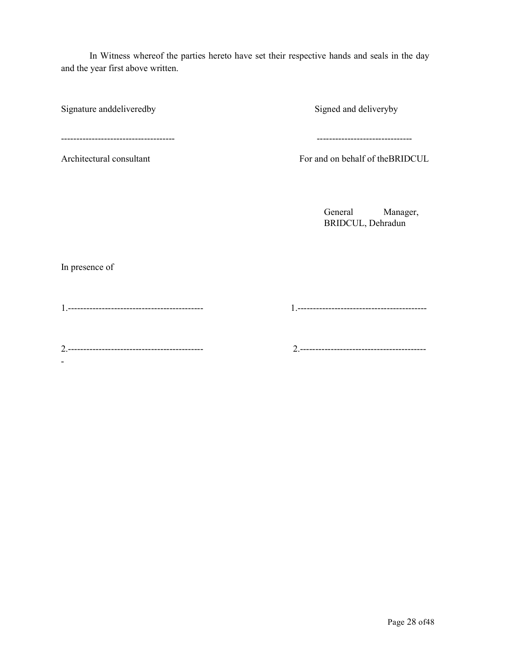In Witness whereof the parties hereto have set their respective hands and seals in the day and the year first above written.

Signature anddeliveredby Signed and deliveryby

------------------------------------- -------------------------------

Architectural consultant For and on behalf of theBRIDCUL

General Manager, BRIDCUL, Dehradun

In presence of

-

1.-------------------------------------------- 1.------------------------------------------

2.-------------------------------------------- 2.-----------------------------------------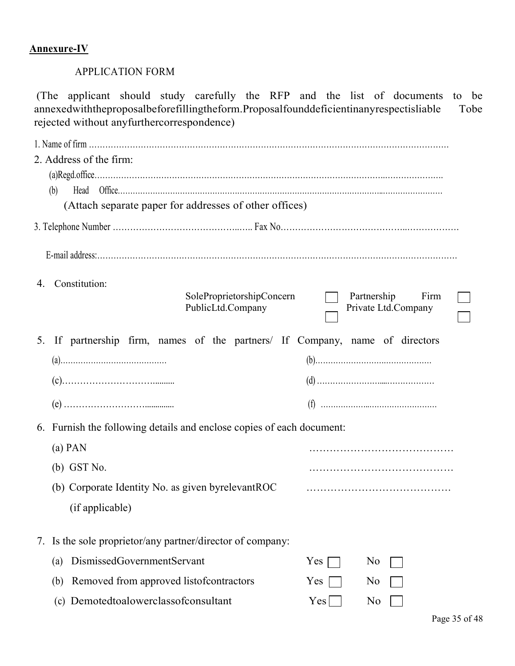## Annexure-IV

### APPLICATION FORM

(The applicant should study carefully the RFP and the list of documents to be annexedwiththeproposalbeforefillingtheform.Proposalfounddeficientinanyrespectisliable Tobe rejected without anyfurthercorrespondence)

| 2. Address of the firm:                         |                                                                              |            |                                            |  |
|-------------------------------------------------|------------------------------------------------------------------------------|------------|--------------------------------------------|--|
| (b)                                             |                                                                              |            |                                            |  |
|                                                 | (Attach separate paper for addresses of other offices)                       |            |                                            |  |
|                                                 |                                                                              |            |                                            |  |
|                                                 |                                                                              |            |                                            |  |
| 4. Constitution:                                | SoleProprietorshipConcern<br>PublicLtd.Company                               |            | Partnership<br>Firm<br>Private Ltd.Company |  |
|                                                 | 5. If partnership firm, names of the partners/ If Company, name of directors |            |                                            |  |
|                                                 |                                                                              |            |                                            |  |
|                                                 |                                                                              |            |                                            |  |
|                                                 |                                                                              |            |                                            |  |
|                                                 | 6. Furnish the following details and enclose copies of each document:        |            |                                            |  |
| $(a)$ PAN                                       |                                                                              |            |                                            |  |
| $(b)$ GST No.                                   |                                                                              |            |                                            |  |
|                                                 | (b) Corporate Identity No. as given byrelevantROC                            |            |                                            |  |
| (if applicable)                                 |                                                                              |            |                                            |  |
|                                                 | 7. Is the sole proprietor/any partner/director of company:                   |            |                                            |  |
| DismissedGovernmentServant<br>$\left( a\right)$ |                                                                              | $Yes \Box$ | No                                         |  |
| (b)                                             | Removed from approved listofcontractors                                      | $Yes \Box$ | No                                         |  |
| Demotedtoalowerclassofconsultant<br>(c)         |                                                                              | $Yes \Box$ | No                                         |  |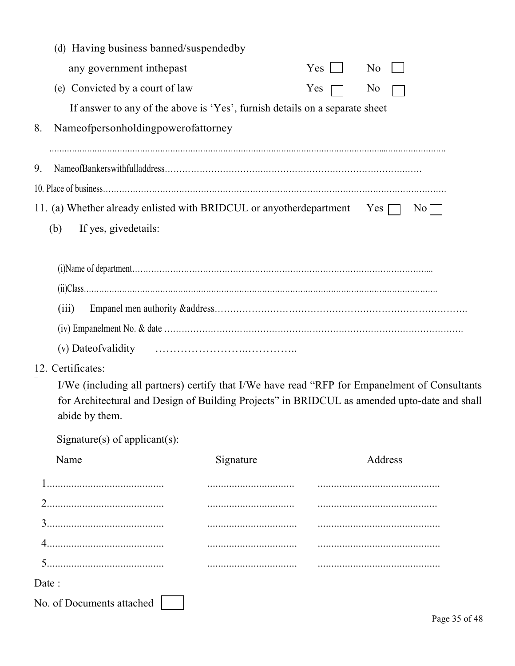| (d) Having business banned/suspendedby                                                                         |                                                                                               |              |                |
|----------------------------------------------------------------------------------------------------------------|-----------------------------------------------------------------------------------------------|--------------|----------------|
| any government inthepast                                                                                       |                                                                                               | $Yes$ $\Box$ | N <sub>o</sub> |
| (e) Convicted by a court of law                                                                                |                                                                                               | Yes $\Box$   | No             |
|                                                                                                                | If answer to any of the above is 'Yes', furnish details on a separate sheet                   |              |                |
| Nameofpersonholdingpowerofattorney<br>8.                                                                       |                                                                                               |              |                |
| 9.                                                                                                             |                                                                                               |              |                |
|                                                                                                                |                                                                                               |              |                |
| 11. (a) Whether already enlisted with BRIDCUL or any other department Yes $\Box$                               |                                                                                               |              | $\rm{No}$      |
| If yes, givedetails:<br>(b)                                                                                    |                                                                                               |              |                |
|                                                                                                                |                                                                                               |              |                |
|                                                                                                                |                                                                                               |              |                |
|                                                                                                                | (ii) Class                                                                                    |              |                |
| (iii)                                                                                                          |                                                                                               |              |                |
|                                                                                                                |                                                                                               |              |                |
| (v) Date of validity                                                                                           |                                                                                               |              |                |
| 12. Certificates:                                                                                              |                                                                                               |              |                |
| for Architectural and Design of Building Projects" in BRIDCUL as amended upto-date and shall<br>abide by them. | I/We (including all partners) certify that I/We have read "RFP for Empanelment of Consultants |              |                |
| Signature(s) of applicant(s):                                                                                  |                                                                                               |              |                |
| Name                                                                                                           | Signature                                                                                     |              | Address        |
|                                                                                                                |                                                                                               |              |                |
|                                                                                                                |                                                                                               |              |                |
|                                                                                                                |                                                                                               |              |                |
|                                                                                                                |                                                                                               |              |                |
|                                                                                                                |                                                                                               |              |                |
| Date:                                                                                                          |                                                                                               |              |                |
| No. of Documents attached                                                                                      |                                                                                               |              |                |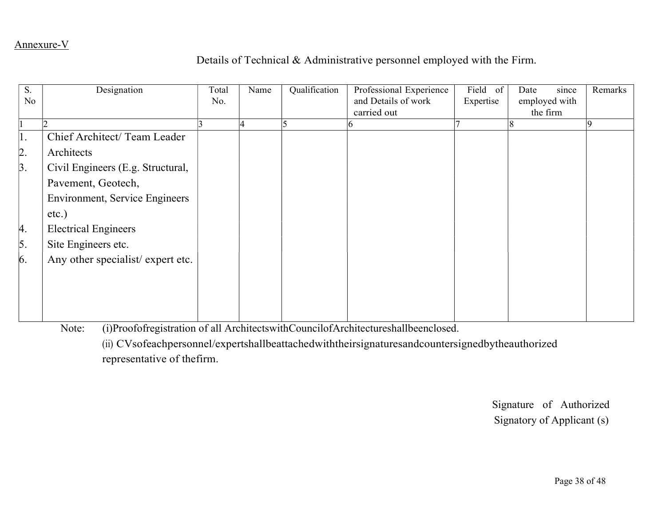## Annexure-V

## Details of Technical & Administrative personnel employed with the Firm.

| S.<br>No.        | Designation                           | Total<br>No. | Name | Qualification | Professional Experience<br>and Details of work<br>carried out | Field of<br>Expertise | since<br>Date<br>employed with<br>the firm | Remarks |
|------------------|---------------------------------------|--------------|------|---------------|---------------------------------------------------------------|-----------------------|--------------------------------------------|---------|
|                  |                                       |              |      |               |                                                               |                       |                                            |         |
| 1.               | Chief Architect/ Team Leader          |              |      |               |                                                               |                       |                                            |         |
| $\overline{2}$ . | Architects                            |              |      |               |                                                               |                       |                                            |         |
| $\beta$ .        | Civil Engineers (E.g. Structural,     |              |      |               |                                                               |                       |                                            |         |
|                  | Pavement, Geotech,                    |              |      |               |                                                               |                       |                                            |         |
|                  | <b>Environment, Service Engineers</b> |              |      |               |                                                               |                       |                                            |         |
|                  | $etc.$ )                              |              |      |               |                                                               |                       |                                            |         |
| 4.               | <b>Electrical Engineers</b>           |              |      |               |                                                               |                       |                                            |         |
| $\vert 5. \vert$ | Site Engineers etc.                   |              |      |               |                                                               |                       |                                            |         |
| 6.               | Any other specialist/expert etc.      |              |      |               |                                                               |                       |                                            |         |
|                  |                                       |              |      |               |                                                               |                       |                                            |         |
|                  |                                       |              |      |               |                                                               |                       |                                            |         |
|                  |                                       |              |      |               |                                                               |                       |                                            |         |
|                  |                                       |              |      |               |                                                               |                       |                                            |         |

Note: (i)Proofofregistration of all ArchitectswithCouncilofArchitectureshallbeenclosed.

(ii) CVsofeachpersonnel/expertshallbeattachedwiththeirsignaturesandcountersignedbytheauthorized representative of thefirm.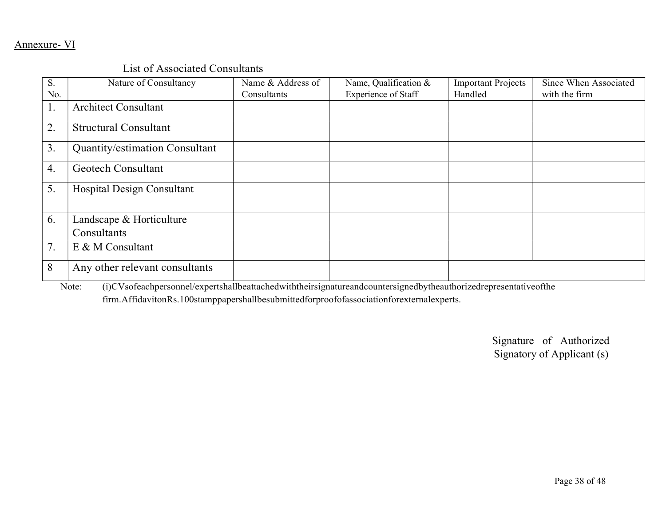## Annexure- VI

### List of Associated Consultants

| S.<br>No.      | Nature of Consultancy                   | Name & Address of<br>Consultants | Name, Qualification &<br><b>Experience of Staff</b> | <b>Important Projects</b><br>Handled | Since When Associated<br>with the firm |
|----------------|-----------------------------------------|----------------------------------|-----------------------------------------------------|--------------------------------------|----------------------------------------|
| $\mathbf{I}$ . | <b>Architect Consultant</b>             |                                  |                                                     |                                      |                                        |
| 2.             | <b>Structural Consultant</b>            |                                  |                                                     |                                      |                                        |
| 3.             | Quantity/estimation Consultant          |                                  |                                                     |                                      |                                        |
| 4.             | <b>Geotech Consultant</b>               |                                  |                                                     |                                      |                                        |
| 5.             | Hospital Design Consultant              |                                  |                                                     |                                      |                                        |
| 6.             | Landscape & Horticulture<br>Consultants |                                  |                                                     |                                      |                                        |
| 7.             | E & M Consultant                        |                                  |                                                     |                                      |                                        |
| 8              | Any other relevant consultants          |                                  |                                                     |                                      |                                        |

Note: (i)CVsofeachpersonnel/expertshallbeattachedwiththeirsignatureandcountersignedbytheauthorizedrepresentativeofthe

firm.AffidavitonRs.100stamppapershallbesubmittedforproofofassociationforexternalexperts.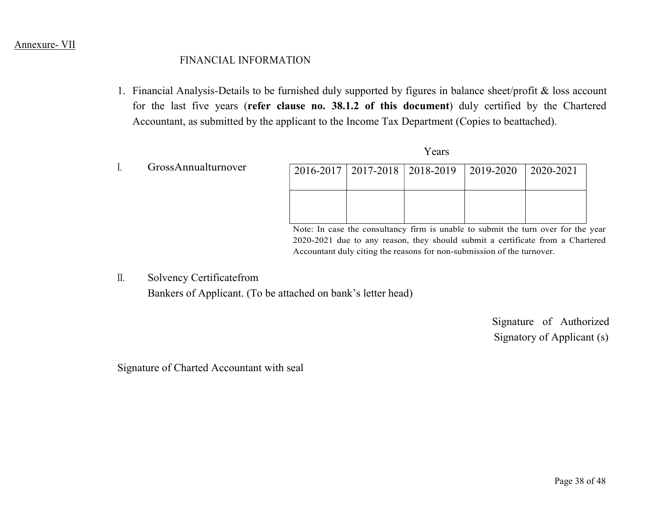### Annexure- VII

### FINANCIAL INFORMATION

1. Financial Analysis-Details to be furnished duly supported by figures in balance sheet/profit & loss account for the last five years (refer clause no. 38.1.2 of this document) duly certified by the Chartered Accountant, as submitted by the applicant to the Income Tax Department (Copies to beattached).

Years

| GrossAnnualturnover | $2016 - 2017$ | $ 2017-2018 2018-2019$ | $ 2019 - 2020 $ | $ 2020 - 2021 $ |
|---------------------|---------------|------------------------|-----------------|-----------------|
|                     |               |                        |                 |                 |

Note: In case the consultancy firm is unable to submit the turn over for the year 2020-2021 due to any reason, they should submit a certificate from a Chartered Accountant duly citing the reasons for non-submission of the turnover.

II. Solvency Certificatefrom Bankers of Applicant. (To be attached on bank's letter head)

> Signature of Authorized Signatory of Applicant (s)

Signature of Charted Accountant with seal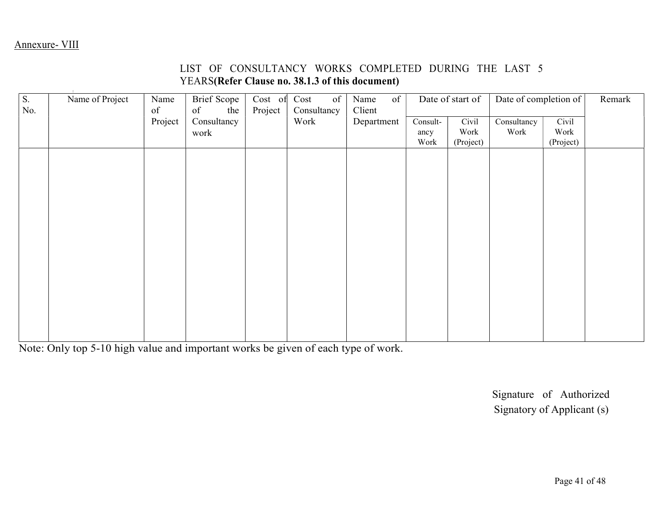### LIST OF CONSULTANCY WORKS COMPLETED DURING THE LAST 5 YEARS(Refer Clause no. 38.1.3 of this document)

| $\overline{\mathsf{S}}$ .<br>No. | Name of Project | Name<br>of | Brief Scope  <br>of<br>the $\vert$ | Cost of<br>Project | of<br>Cost<br>Consultancy | Name<br>$\sigma$ f<br>Client |          | Date of start of | Date of completion of |           | Remark |  |
|----------------------------------|-----------------|------------|------------------------------------|--------------------|---------------------------|------------------------------|----------|------------------|-----------------------|-----------|--------|--|
|                                  |                 | Project    | Consultancy                        |                    | Work                      | Department                   | Consult- | Civil            | Consultancy           | Civil     |        |  |
|                                  |                 |            | work                               |                    |                           |                              | ancy     | Work             | Work                  | Work      |        |  |
|                                  |                 |            |                                    |                    |                           |                              | Work     | (Project)        |                       | (Project) |        |  |
|                                  |                 |            |                                    |                    |                           |                              |          |                  |                       |           |        |  |
|                                  |                 |            |                                    |                    |                           |                              |          |                  |                       |           |        |  |
|                                  |                 |            |                                    |                    |                           |                              |          |                  |                       |           |        |  |
|                                  |                 |            |                                    |                    |                           |                              |          |                  |                       |           |        |  |
|                                  |                 |            |                                    |                    |                           |                              |          |                  |                       |           |        |  |
|                                  |                 |            |                                    |                    |                           |                              |          |                  |                       |           |        |  |
|                                  |                 |            |                                    |                    |                           |                              |          |                  |                       |           |        |  |
|                                  |                 |            |                                    |                    |                           |                              |          |                  |                       |           |        |  |
|                                  |                 |            |                                    |                    |                           |                              |          |                  |                       |           |        |  |
|                                  |                 |            |                                    |                    |                           |                              |          |                  |                       |           |        |  |
|                                  |                 |            |                                    |                    |                           |                              |          |                  |                       |           |        |  |
|                                  |                 |            |                                    |                    |                           |                              |          |                  |                       |           |        |  |
|                                  |                 |            |                                    |                    |                           |                              |          |                  |                       |           |        |  |
|                                  |                 |            |                                    |                    |                           |                              |          |                  |                       |           |        |  |
|                                  |                 |            |                                    |                    |                           |                              |          |                  |                       |           |        |  |

Note: Only top 5-10 high value and important works be given of each type of work.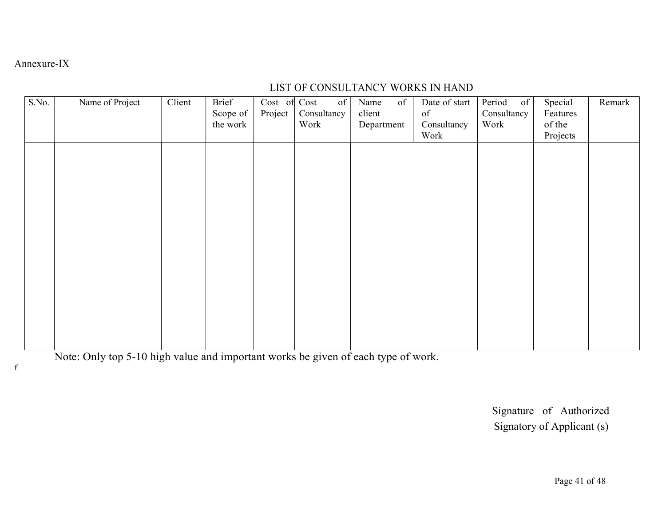### Annexure-IX

## LIST OF CONSULTANCY WORKS IN HAND

| S.No. | Name of Project | Client | Brief    | Cost of Cost    | $\sigma$ f  | Name<br>of | Date of start | Period<br>of | Special  | Remark |  |
|-------|-----------------|--------|----------|-----------------|-------------|------------|---------------|--------------|----------|--------|--|
|       |                 |        | Scope of | Project $\vert$ | Consultancy | client     | of            | Consultancy  | Features |        |  |
|       |                 |        | the work |                 | Work        | Department | Consultancy   | Work         | of the   |        |  |
|       |                 |        |          |                 |             |            | Work          |              | Projects |        |  |
|       |                 |        |          |                 |             |            |               |              |          |        |  |
|       |                 |        |          |                 |             |            |               |              |          |        |  |
|       |                 |        |          |                 |             |            |               |              |          |        |  |
|       |                 |        |          |                 |             |            |               |              |          |        |  |
|       |                 |        |          |                 |             |            |               |              |          |        |  |
|       |                 |        |          |                 |             |            |               |              |          |        |  |
|       |                 |        |          |                 |             |            |               |              |          |        |  |
|       |                 |        |          |                 |             |            |               |              |          |        |  |
|       |                 |        |          |                 |             |            |               |              |          |        |  |
|       |                 |        |          |                 |             |            |               |              |          |        |  |
|       |                 |        |          |                 |             |            |               |              |          |        |  |
|       |                 |        |          |                 |             |            |               |              |          |        |  |
|       |                 |        |          |                 |             |            |               |              |          |        |  |
|       |                 |        |          |                 |             |            |               |              |          |        |  |
|       |                 |        |          |                 |             |            |               |              |          |        |  |
|       |                 |        |          |                 |             |            |               |              |          |        |  |
|       |                 |        |          |                 |             |            |               |              |          |        |  |
|       |                 |        |          |                 |             |            |               |              |          |        |  |

Note: Only top 5-10 high value and important works be given of each type of work.

f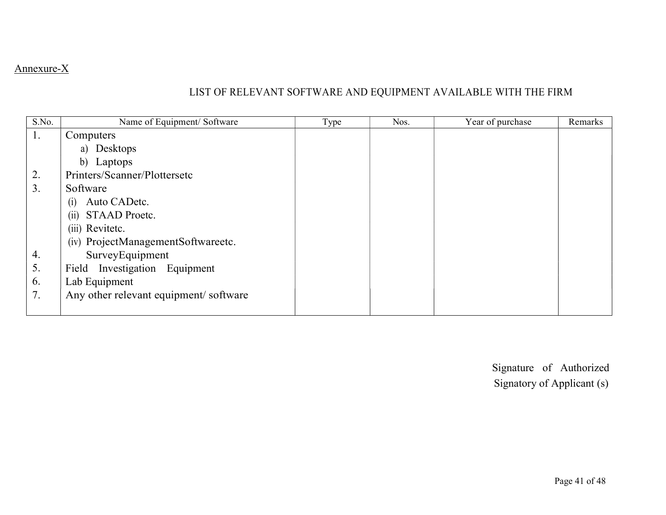## Annexure-X

## LIST OF RELEVANT SOFTWARE AND EQUIPMENT AVAILABLE WITH THE FIRM

| S.No. | Name of Equipment/ Software            | Type | Nos. | Year of purchase | Remarks |
|-------|----------------------------------------|------|------|------------------|---------|
| 1.    | Computers                              |      |      |                  |         |
|       | a) Desktops                            |      |      |                  |         |
|       | b) Laptops                             |      |      |                  |         |
| 2.    | Printers/Scanner/Plottersetc           |      |      |                  |         |
| 3.    | Software                               |      |      |                  |         |
|       | Auto CADetc.<br>(1)                    |      |      |                  |         |
|       | STAAD Proetc.<br>(11)                  |      |      |                  |         |
|       | (iii) Revitetc.                        |      |      |                  |         |
|       | (iv) ProjectManagementSoftwareetc.     |      |      |                  |         |
| 4.    | SurveyEquipment                        |      |      |                  |         |
| 5.    | Field Investigation Equipment          |      |      |                  |         |
| 6.    | Lab Equipment                          |      |      |                  |         |
| 7.    | Any other relevant equipment/ software |      |      |                  |         |
|       |                                        |      |      |                  |         |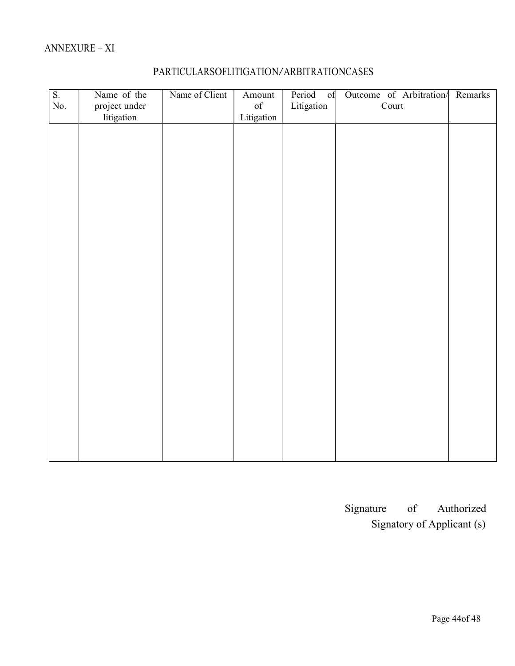## ANNEXURE – XI

| $\overline{\mathbf{S}}$ . | Name of the   | Name of Client | Amount            | Period of  | Outcome of Arbitration/ Remarks |  |
|---------------------------|---------------|----------------|-------------------|------------|---------------------------------|--|
| No.                       | project under |                | $\mathop{\rm of}$ | Litigation | Court                           |  |
|                           | litigation    |                | Litigation        |            |                                 |  |
|                           |               |                |                   |            |                                 |  |
|                           |               |                |                   |            |                                 |  |
|                           |               |                |                   |            |                                 |  |
|                           |               |                |                   |            |                                 |  |
|                           |               |                |                   |            |                                 |  |
|                           |               |                |                   |            |                                 |  |
|                           |               |                |                   |            |                                 |  |
|                           |               |                |                   |            |                                 |  |
|                           |               |                |                   |            |                                 |  |
|                           |               |                |                   |            |                                 |  |
|                           |               |                |                   |            |                                 |  |
|                           |               |                |                   |            |                                 |  |
|                           |               |                |                   |            |                                 |  |
|                           |               |                |                   |            |                                 |  |
|                           |               |                |                   |            |                                 |  |
|                           |               |                |                   |            |                                 |  |
|                           |               |                |                   |            |                                 |  |
|                           |               |                |                   |            |                                 |  |
|                           |               |                |                   |            |                                 |  |
|                           |               |                |                   |            |                                 |  |
|                           |               |                |                   |            |                                 |  |
|                           |               |                |                   |            |                                 |  |
|                           |               |                |                   |            |                                 |  |
|                           |               |                |                   |            |                                 |  |

## PARTICULARSOFLITIGATION/ARBITRATIONCASES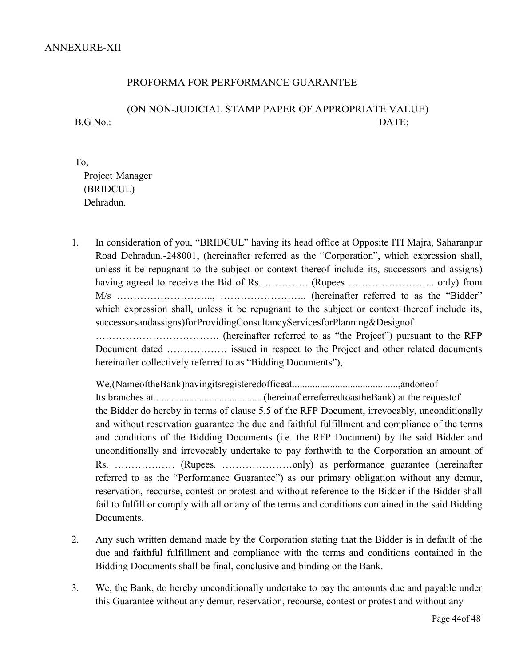### PROFORMA FOR PERFORMANCE GUARANTEE

### (ON NON-JUDICIAL STAMP PAPER OF APPROPRIATE VALUE) B.G No.: DATE:

### To, Project Manager (BRIDCUL) Dehradun.

1. In consideration of you, "BRIDCUL" having its head office at Opposite ITI Majra, Saharanpur Road Dehradun.-248001, (hereinafter referred as the "Corporation", which expression shall, unless it be repugnant to the subject or context thereof include its, successors and assigns) having agreed to receive the Bid of Rs. …………. (Rupees …………………….. only) from M/s ……………………….., …………………….. (hereinafter referred to as the "Bidder" which expression shall, unless it be repugnant to the subject or context thereof include its, successorsandassigns)forProvidingConsultancyServicesforPlanning&Designof ………………………………. (hereinafter referred to as "the Project") pursuant to the RFP

Document dated ……………… issued in respect to the Project and other related documents hereinafter collectively referred to as "Bidding Documents"),

We,(NameoftheBank)havingitsregisteredofficeat..........................................,andoneof Its branches at ........................................... (hereinafterreferredtoastheBank) at the requestof the Bidder do hereby in terms of clause 5.5 of the RFP Document, irrevocably, unconditionally and without reservation guarantee the due and faithful fulfillment and compliance of the terms and conditions of the Bidding Documents (i.e. the RFP Document) by the said Bidder and unconditionally and irrevocably undertake to pay forthwith to the Corporation an amount of Rs. ……………… (Rupees. …………………only) as performance guarantee (hereinafter referred to as the "Performance Guarantee") as our primary obligation without any demur, reservation, recourse, contest or protest and without reference to the Bidder if the Bidder shall fail to fulfill or comply with all or any of the terms and conditions contained in the said Bidding Documents.

- 2. Any such written demand made by the Corporation stating that the Bidder is in default of the due and faithful fulfillment and compliance with the terms and conditions contained in the Bidding Documents shall be final, conclusive and binding on the Bank.
- 3. We, the Bank, do hereby unconditionally undertake to pay the amounts due and payable under this Guarantee without any demur, reservation, recourse, contest or protest and without any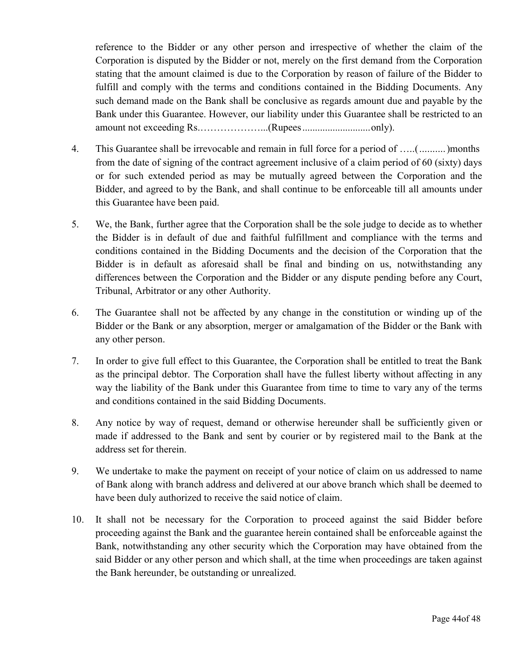reference to the Bidder or any other person and irrespective of whether the claim of the Corporation is disputed by the Bidder or not, merely on the first demand from the Corporation stating that the amount claimed is due to the Corporation by reason of failure of the Bidder to fulfill and comply with the terms and conditions contained in the Bidding Documents. Any such demand made on the Bank shall be conclusive as regards amount due and payable by the Bank under this Guarantee. However, our liability under this Guarantee shall be restricted to an amount not exceeding Rs.………………...(Rupees ........................... only).

- 4. This Guarantee shall be irrevocable and remain in full force for a period of …..( .......... )months from the date of signing of the contract agreement inclusive of a claim period of 60 (sixty) days or for such extended period as may be mutually agreed between the Corporation and the Bidder, and agreed to by the Bank, and shall continue to be enforceable till all amounts under this Guarantee have been paid.
- 5. We, the Bank, further agree that the Corporation shall be the sole judge to decide as to whether the Bidder is in default of due and faithful fulfillment and compliance with the terms and conditions contained in the Bidding Documents and the decision of the Corporation that the Bidder is in default as aforesaid shall be final and binding on us, notwithstanding any differences between the Corporation and the Bidder or any dispute pending before any Court, Tribunal, Arbitrator or any other Authority.
- 6. The Guarantee shall not be affected by any change in the constitution or winding up of the Bidder or the Bank or any absorption, merger or amalgamation of the Bidder or the Bank with any other person.
- 7. In order to give full effect to this Guarantee, the Corporation shall be entitled to treat the Bank as the principal debtor. The Corporation shall have the fullest liberty without affecting in any way the liability of the Bank under this Guarantee from time to time to vary any of the terms and conditions contained in the said Bidding Documents.
- 8. Any notice by way of request, demand or otherwise hereunder shall be sufficiently given or made if addressed to the Bank and sent by courier or by registered mail to the Bank at the address set for therein.
- 9. We undertake to make the payment on receipt of your notice of claim on us addressed to name of Bank along with branch address and delivered at our above branch which shall be deemed to have been duly authorized to receive the said notice of claim.
- 10. It shall not be necessary for the Corporation to proceed against the said Bidder before proceeding against the Bank and the guarantee herein contained shall be enforceable against the Bank, notwithstanding any other security which the Corporation may have obtained from the said Bidder or any other person and which shall, at the time when proceedings are taken against the Bank hereunder, be outstanding or unrealized.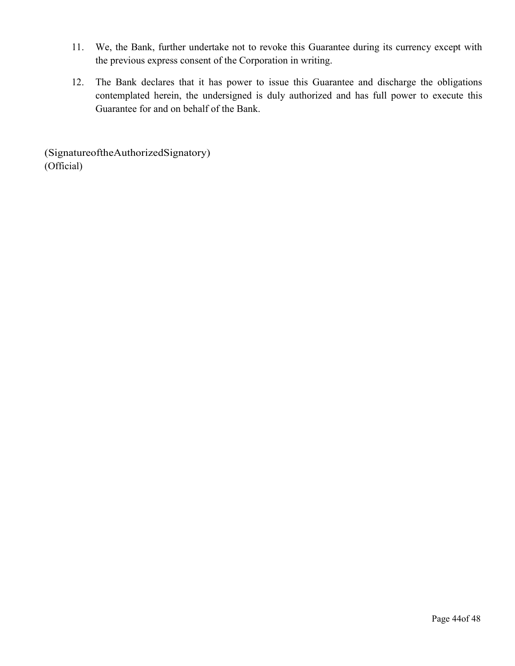- 11. We, the Bank, further undertake not to revoke this Guarantee during its currency except with the previous express consent of the Corporation in writing.
- 12. The Bank declares that it has power to issue this Guarantee and discharge the obligations contemplated herein, the undersigned is duly authorized and has full power to execute this Guarantee for and on behalf of the Bank.

(SignatureoftheAuthorizedSignatory) (Official)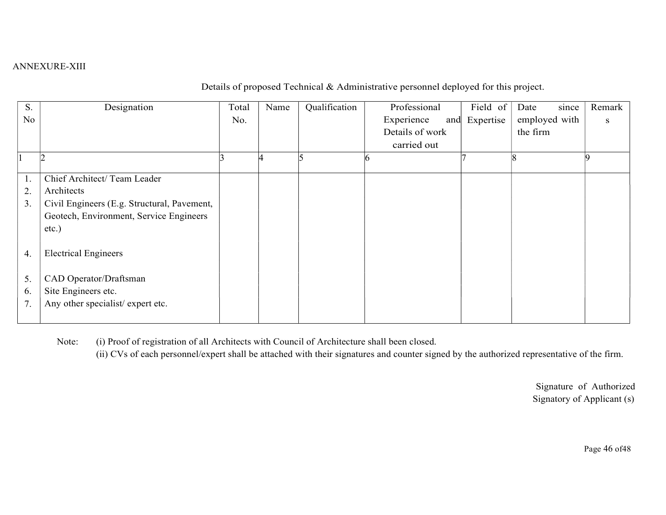### ANNEXURE-XIII

Details of proposed Technical & Administrative personnel deployed for this project.

| S.             | Designation                                 | Total | Name | Qualification | Professional      | Field of  | Date     | since         | Remark |  |
|----------------|---------------------------------------------|-------|------|---------------|-------------------|-----------|----------|---------------|--------|--|
| N <sub>o</sub> |                                             | No.   |      |               | Experience<br>and | Expertise |          | employed with | S      |  |
|                |                                             |       |      |               | Details of work   |           | the firm |               |        |  |
|                |                                             |       |      |               | carried out       |           |          |               |        |  |
|                |                                             |       |      |               |                   |           |          |               |        |  |
| 1.             | Chief Architect/ Team Leader                |       |      |               |                   |           |          |               |        |  |
| 2.             | Architects                                  |       |      |               |                   |           |          |               |        |  |
| 3.             | Civil Engineers (E.g. Structural, Pavement, |       |      |               |                   |           |          |               |        |  |
|                | Geotech, Environment, Service Engineers     |       |      |               |                   |           |          |               |        |  |
|                | $etc.$ )                                    |       |      |               |                   |           |          |               |        |  |
| 4.             | <b>Electrical Engineers</b>                 |       |      |               |                   |           |          |               |        |  |
| 5.             | CAD Operator/Draftsman                      |       |      |               |                   |           |          |               |        |  |
| 6.             | Site Engineers etc.                         |       |      |               |                   |           |          |               |        |  |
| 7.             | Any other specialist/expert etc.            |       |      |               |                   |           |          |               |        |  |
|                |                                             |       |      |               |                   |           |          |               |        |  |

Note: (i) Proof of registration of all Architects with Council of Architecture shall been closed.

(ii) CVs of each personnel/expert shall be attached with their signatures and counter signed by the authorized representative of the firm.

Signature of Authorized Signatory of Applicant (s)

Page 46 of48